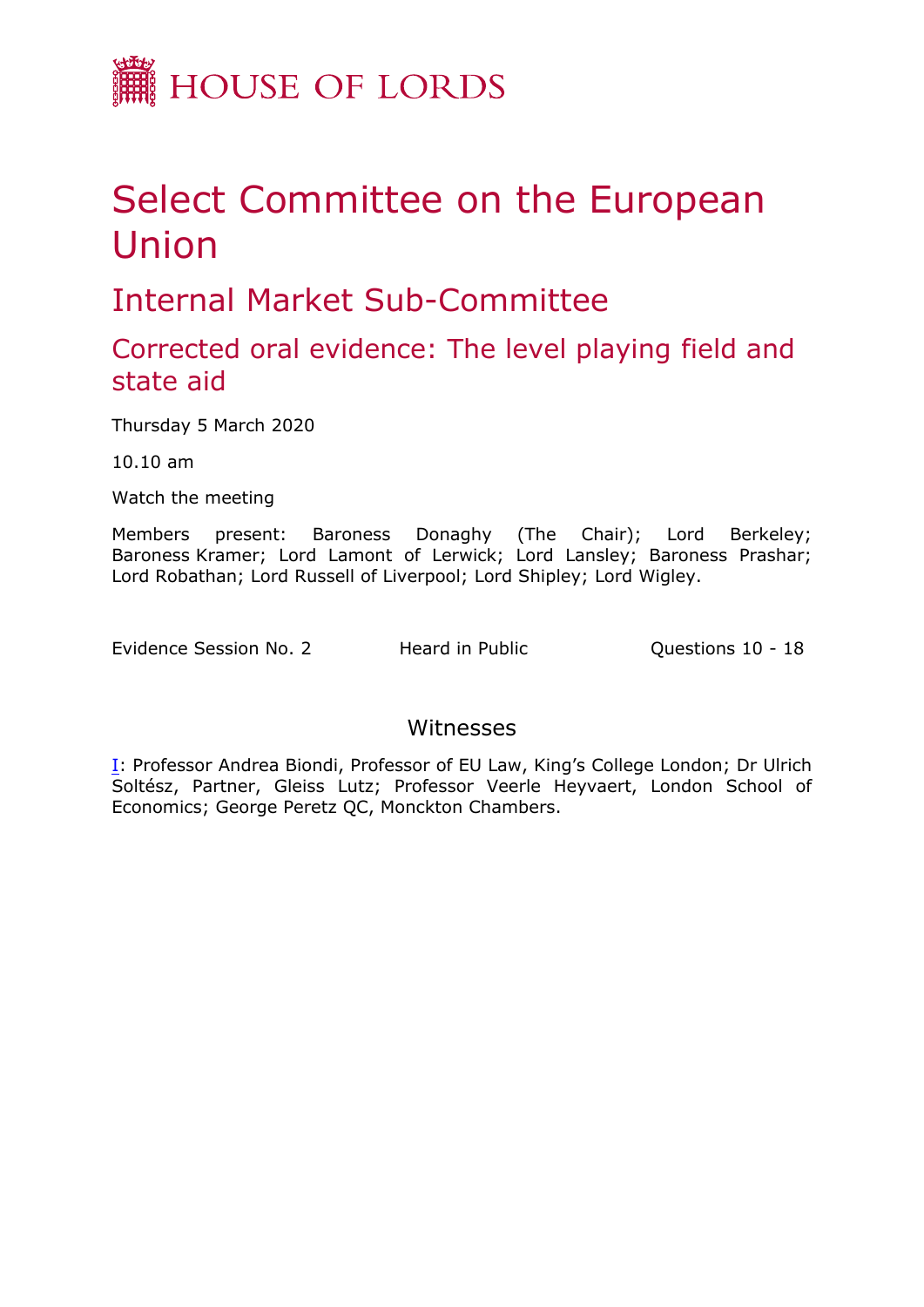

## Select Committee on the European Union

Internal Market Sub-Committee

Corrected oral evidence: The level playing field and state aid

Thursday 5 March 2020

10.10 am

Watch the meeting

Members present: Baroness Donaghy (The Chair); Lord Berkeley; Baroness Kramer; Lord Lamont of Lerwick; Lord Lansley; Baroness Prashar; Lord Robathan; Lord Russell of Liverpool; Lord Shipley; Lord Wigley.

Evidence Session No. 2 Heard in Public **Questions 10 - 18** 

## Witnesses

[I:](#page-1-0) Professor Andrea Biondi, Professor of EU Law, King's College London; Dr Ulrich Soltész, Partner, Gleiss Lutz; Professor Veerle Heyvaert, London School of Economics; George Peretz QC, Monckton Chambers.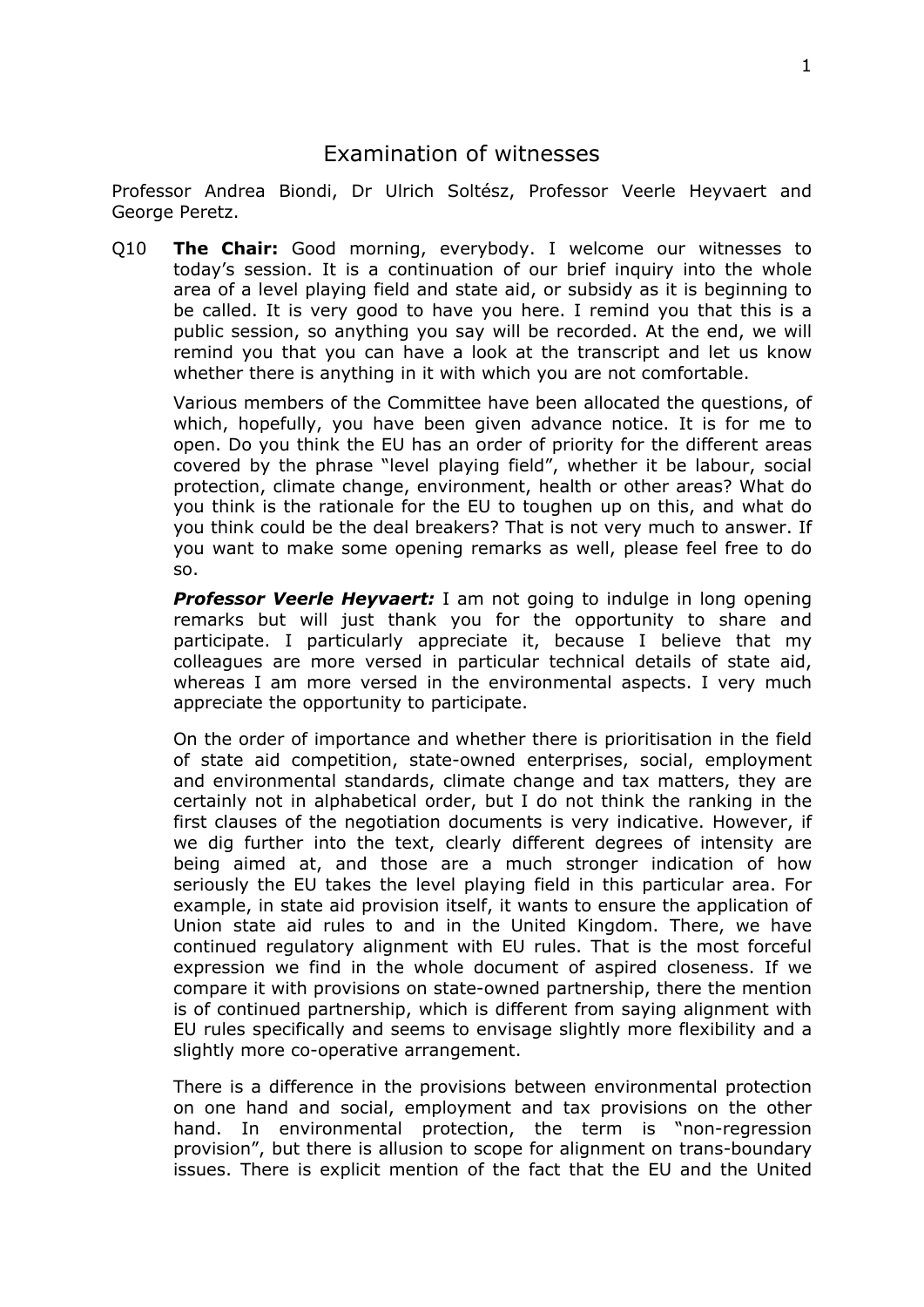## <span id="page-1-0"></span>Examination of witnesses

Professor Andrea Biondi, Dr Ulrich Soltész, Professor Veerle Heyvaert and George Peretz.

Q10 **The Chair:** Good morning, everybody. I welcome our witnesses to today's session. It is a continuation of our brief inquiry into the whole area of a level playing field and state aid, or subsidy as it is beginning to be called. It is very good to have you here. I remind you that this is a public session, so anything you say will be recorded. At the end, we will remind you that you can have a look at the transcript and let us know whether there is anything in it with which you are not comfortable.

Various members of the Committee have been allocated the questions, of which, hopefully, you have been given advance notice. It is for me to open. Do you think the EU has an order of priority for the different areas covered by the phrase "level playing field", whether it be labour, social protection, climate change, environment, health or other areas? What do you think is the rationale for the EU to toughen up on this, and what do you think could be the deal breakers? That is not very much to answer. If you want to make some opening remarks as well, please feel free to do so.

*Professor Veerle Heyvaert:* I am not going to indulge in long opening remarks but will just thank you for the opportunity to share and participate. I particularly appreciate it, because I believe that my colleagues are more versed in particular technical details of state aid, whereas I am more versed in the environmental aspects. I very much appreciate the opportunity to participate.

On the order of importance and whether there is prioritisation in the field of state aid competition, state-owned enterprises, social, employment and environmental standards, climate change and tax matters, they are certainly not in alphabetical order, but I do not think the ranking in the first clauses of the negotiation documents is very indicative. However, if we dig further into the text, clearly different degrees of intensity are being aimed at, and those are a much stronger indication of how seriously the EU takes the level playing field in this particular area. For example, in state aid provision itself, it wants to ensure the application of Union state aid rules to and in the United Kingdom. There, we have continued regulatory alignment with EU rules. That is the most forceful expression we find in the whole document of aspired closeness. If we compare it with provisions on state-owned partnership, there the mention is of continued partnership, which is different from saying alignment with EU rules specifically and seems to envisage slightly more flexibility and a slightly more co-operative arrangement.

There is a difference in the provisions between environmental protection on one hand and social, employment and tax provisions on the other hand. In environmental protection, the term is "non-regression provision", but there is allusion to scope for alignment on trans-boundary issues. There is explicit mention of the fact that the EU and the United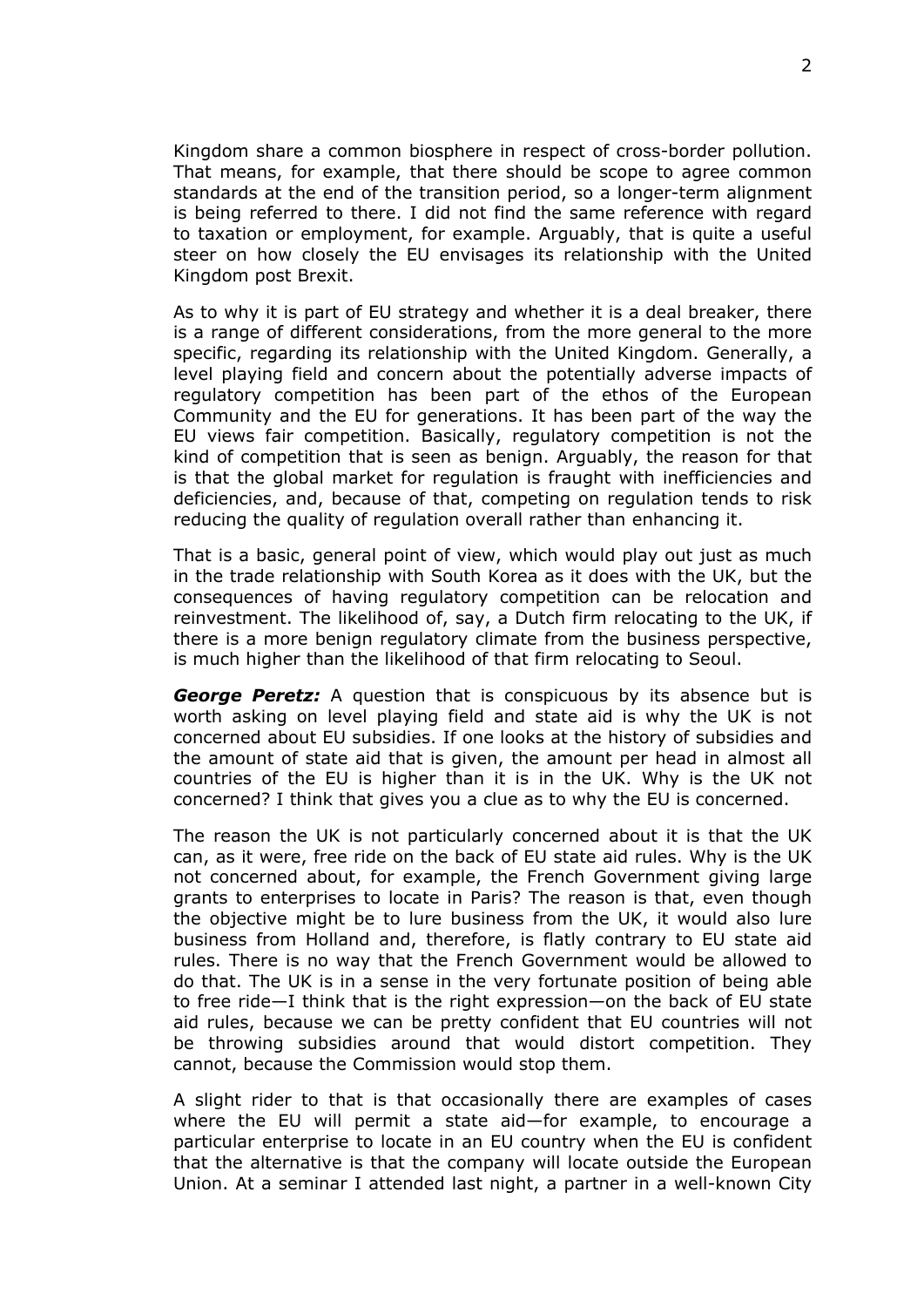Kingdom share a common biosphere in respect of cross-border pollution. That means, for example, that there should be scope to agree common standards at the end of the transition period, so a longer-term alignment is being referred to there. I did not find the same reference with regard to taxation or employment, for example. Arguably, that is quite a useful steer on how closely the EU envisages its relationship with the United Kingdom post Brexit.

As to why it is part of EU strategy and whether it is a deal breaker, there is a range of different considerations, from the more general to the more specific, regarding its relationship with the United Kingdom. Generally, a level playing field and concern about the potentially adverse impacts of regulatory competition has been part of the ethos of the European Community and the EU for generations. It has been part of the way the EU views fair competition. Basically, regulatory competition is not the kind of competition that is seen as benign. Arguably, the reason for that is that the global market for regulation is fraught with inefficiencies and deficiencies, and, because of that, competing on regulation tends to risk reducing the quality of regulation overall rather than enhancing it.

That is a basic, general point of view, which would play out just as much in the trade relationship with South Korea as it does with the UK, but the consequences of having regulatory competition can be relocation and reinvestment. The likelihood of, say, a Dutch firm relocating to the UK, if there is a more benign regulatory climate from the business perspective, is much higher than the likelihood of that firm relocating to Seoul.

*George Peretz:* A question that is conspicuous by its absence but is worth asking on level playing field and state aid is why the UK is not concerned about EU subsidies. If one looks at the history of subsidies and the amount of state aid that is given, the amount per head in almost all countries of the EU is higher than it is in the UK. Why is the UK not concerned? I think that gives you a clue as to why the EU is concerned.

The reason the UK is not particularly concerned about it is that the UK can, as it were, free ride on the back of EU state aid rules. Why is the UK not concerned about, for example, the French Government giving large grants to enterprises to locate in Paris? The reason is that, even though the objective might be to lure business from the UK, it would also lure business from Holland and, therefore, is flatly contrary to EU state aid rules. There is no way that the French Government would be allowed to do that. The UK is in a sense in the very fortunate position of being able to free ride—I think that is the right expression—on the back of EU state aid rules, because we can be pretty confident that EU countries will not be throwing subsidies around that would distort competition. They cannot, because the Commission would stop them.

A slight rider to that is that occasionally there are examples of cases where the EU will permit a state aid—for example, to encourage a particular enterprise to locate in an EU country when the EU is confident that the alternative is that the company will locate outside the European Union. At a seminar I attended last night, a partner in a well-known City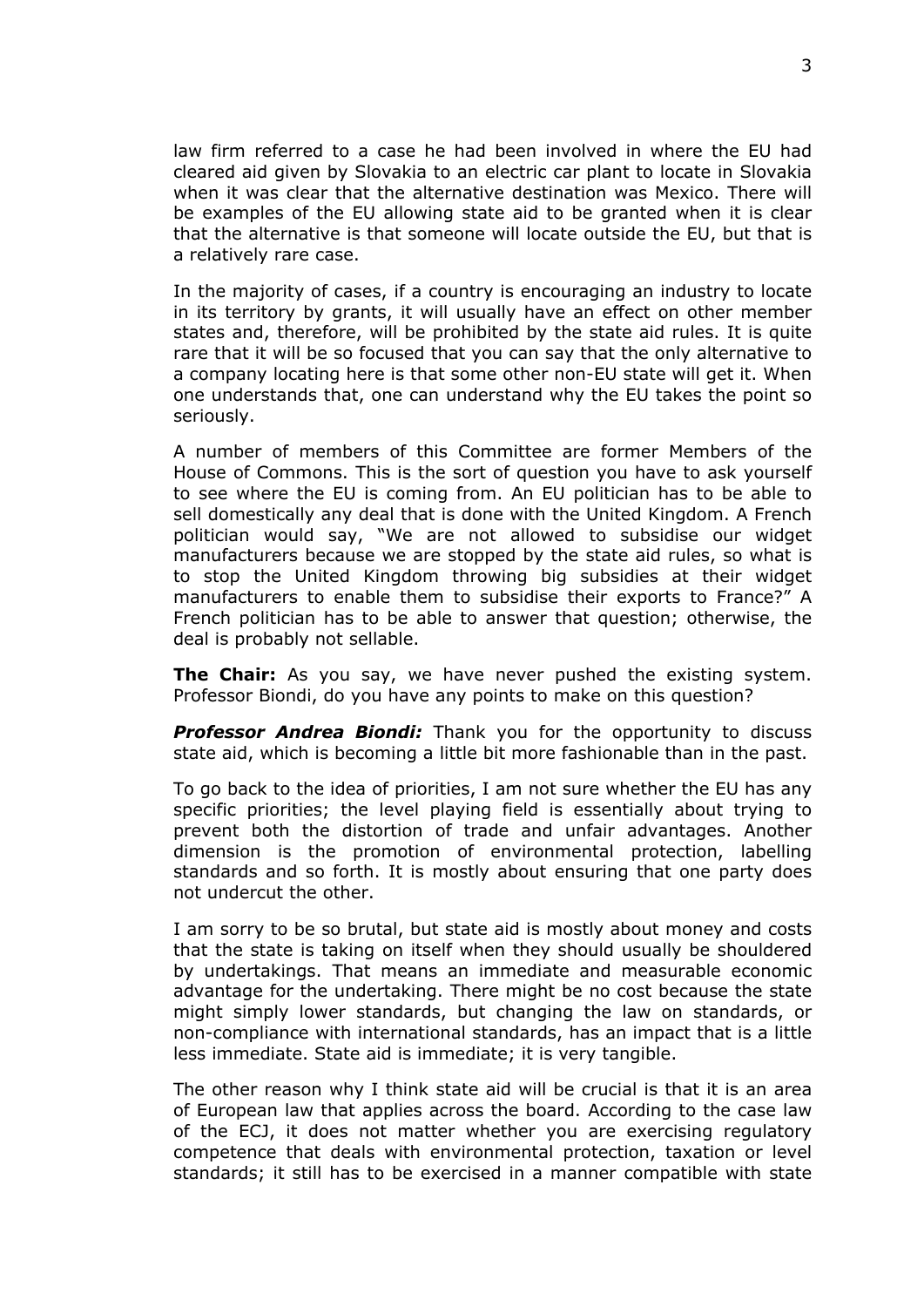law firm referred to a case he had been involved in where the EU had cleared aid given by Slovakia to an electric car plant to locate in Slovakia when it was clear that the alternative destination was Mexico. There will be examples of the EU allowing state aid to be granted when it is clear that the alternative is that someone will locate outside the EU, but that is a relatively rare case.

In the majority of cases, if a country is encouraging an industry to locate in its territory by grants, it will usually have an effect on other member states and, therefore, will be prohibited by the state aid rules. It is quite rare that it will be so focused that you can say that the only alternative to a company locating here is that some other non-EU state will get it. When one understands that, one can understand why the EU takes the point so seriously.

A number of members of this Committee are former Members of the House of Commons. This is the sort of question you have to ask yourself to see where the EU is coming from. An EU politician has to be able to sell domestically any deal that is done with the United Kingdom. A French politician would say, "We are not allowed to subsidise our widget manufacturers because we are stopped by the state aid rules, so what is to stop the United Kingdom throwing big subsidies at their widget manufacturers to enable them to subsidise their exports to France?" A French politician has to be able to answer that question; otherwise, the deal is probably not sellable.

**The Chair:** As you say, we have never pushed the existing system. Professor Biondi, do you have any points to make on this question?

*Professor Andrea Biondi:* Thank you for the opportunity to discuss state aid, which is becoming a little bit more fashionable than in the past.

To go back to the idea of priorities, I am not sure whether the EU has any specific priorities; the level playing field is essentially about trying to prevent both the distortion of trade and unfair advantages. Another dimension is the promotion of environmental protection, labelling standards and so forth. It is mostly about ensuring that one party does not undercut the other.

I am sorry to be so brutal, but state aid is mostly about money and costs that the state is taking on itself when they should usually be shouldered by undertakings. That means an immediate and measurable economic advantage for the undertaking. There might be no cost because the state might simply lower standards, but changing the law on standards, or non-compliance with international standards, has an impact that is a little less immediate. State aid is immediate; it is very tangible.

The other reason why I think state aid will be crucial is that it is an area of European law that applies across the board. According to the case law of the ECJ, it does not matter whether you are exercising regulatory competence that deals with environmental protection, taxation or level standards; it still has to be exercised in a manner compatible with state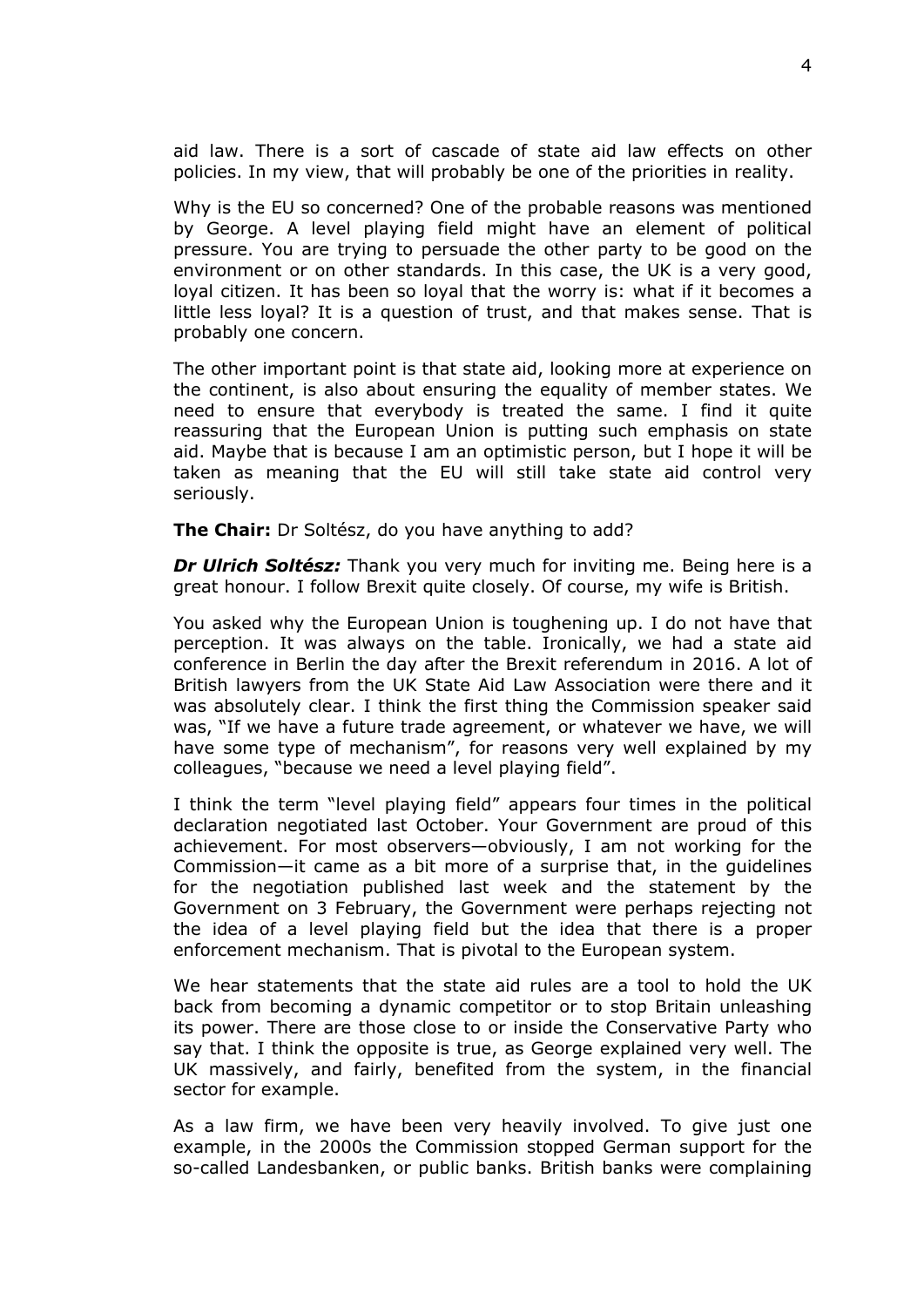aid law. There is a sort of cascade of state aid law effects on other policies. In my view, that will probably be one of the priorities in reality.

Why is the EU so concerned? One of the probable reasons was mentioned by George. A level playing field might have an element of political pressure. You are trying to persuade the other party to be good on the environment or on other standards. In this case, the UK is a very good, loyal citizen. It has been so loyal that the worry is: what if it becomes a little less loyal? It is a question of trust, and that makes sense. That is probably one concern.

The other important point is that state aid, looking more at experience on the continent, is also about ensuring the equality of member states. We need to ensure that everybody is treated the same. I find it quite reassuring that the European Union is putting such emphasis on state aid. Maybe that is because I am an optimistic person, but I hope it will be taken as meaning that the EU will still take state aid control very seriously.

**The Chair:** Dr Soltész, do you have anything to add?

*Dr Ulrich Soltész:* Thank you very much for inviting me. Being here is a great honour. I follow Brexit quite closely. Of course, my wife is British.

You asked why the European Union is toughening up. I do not have that perception. It was always on the table. Ironically, we had a state aid conference in Berlin the day after the Brexit referendum in 2016. A lot of British lawyers from the UK State Aid Law Association were there and it was absolutely clear. I think the first thing the Commission speaker said was, "If we have a future trade agreement, or whatever we have, we will have some type of mechanism", for reasons very well explained by my colleagues, "because we need a level playing field".

I think the term "level playing field" appears four times in the political declaration negotiated last October. Your Government are proud of this achievement. For most observers—obviously, I am not working for the Commission—it came as a bit more of a surprise that, in the guidelines for the negotiation published last week and the statement by the Government on 3 February, the Government were perhaps rejecting not the idea of a level playing field but the idea that there is a proper enforcement mechanism. That is pivotal to the European system.

We hear statements that the state aid rules are a tool to hold the UK back from becoming a dynamic competitor or to stop Britain unleashing its power. There are those close to or inside the Conservative Party who say that. I think the opposite is true, as George explained very well. The UK massively, and fairly, benefited from the system, in the financial sector for example.

As a law firm, we have been very heavily involved. To give just one example, in the 2000s the Commission stopped German support for the so-called Landesbanken, or public banks. British banks were complaining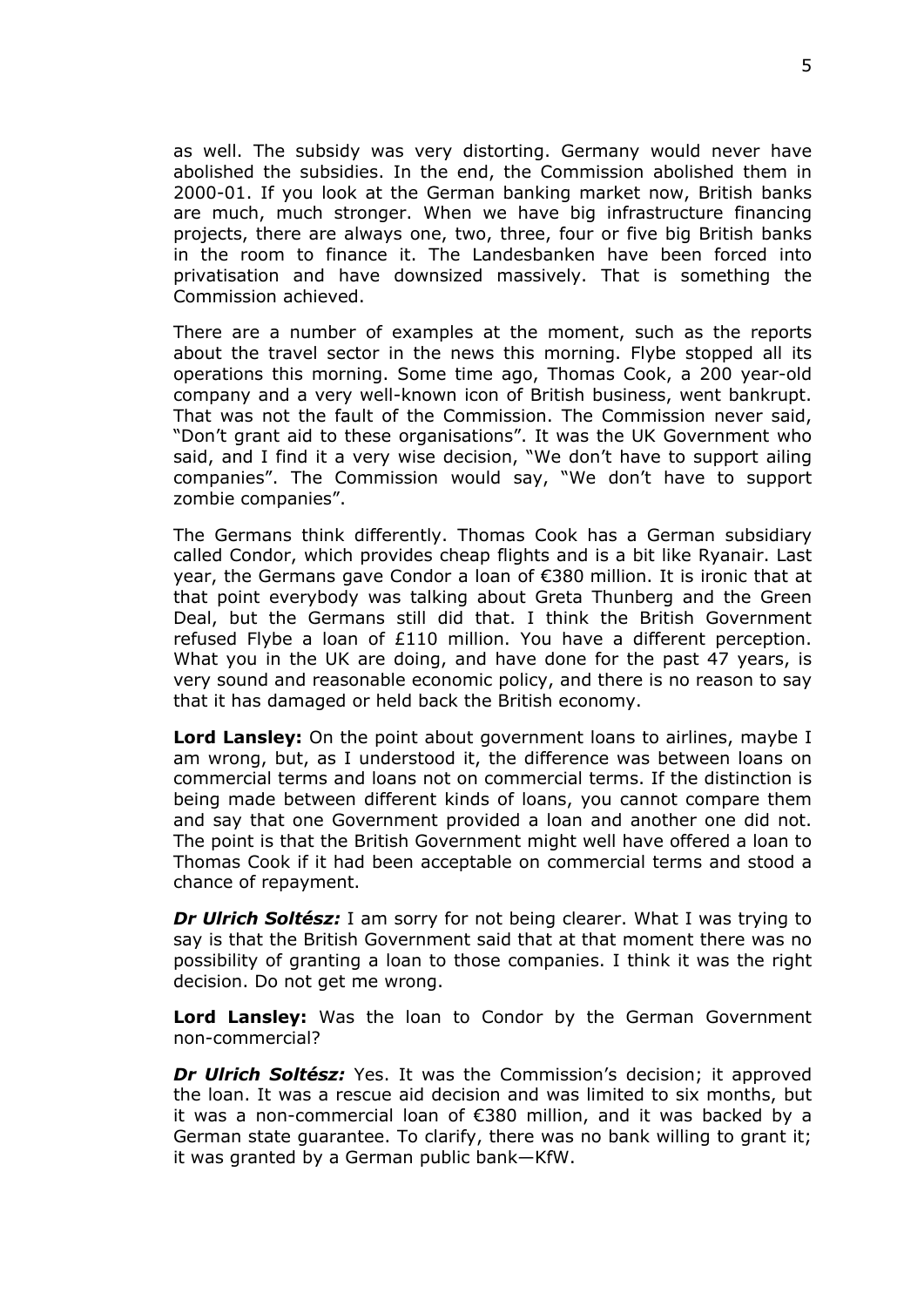as well. The subsidy was very distorting. Germany would never have abolished the subsidies. In the end, the Commission abolished them in 2000-01. If you look at the German banking market now, British banks are much, much stronger. When we have big infrastructure financing projects, there are always one, two, three, four or five big British banks in the room to finance it. The Landesbanken have been forced into privatisation and have downsized massively. That is something the Commission achieved.

There are a number of examples at the moment, such as the reports about the travel sector in the news this morning. Flybe stopped all its operations this morning. Some time ago, Thomas Cook, a 200 year-old company and a very well-known icon of British business, went bankrupt. That was not the fault of the Commission. The Commission never said, "Don't grant aid to these organisations". It was the UK Government who said, and I find it a very wise decision, "We don't have to support ailing companies". The Commission would say, "We don't have to support zombie companies".

The Germans think differently. Thomas Cook has a German subsidiary called Condor, which provides cheap flights and is a bit like Ryanair. Last year, the Germans gave Condor a loan of €380 million. It is ironic that at that point everybody was talking about Greta Thunberg and the Green Deal, but the Germans still did that. I think the British Government refused Flybe a loan of £110 million. You have a different perception. What you in the UK are doing, and have done for the past 47 years, is very sound and reasonable economic policy, and there is no reason to say that it has damaged or held back the British economy.

**Lord Lansley:** On the point about government loans to airlines, maybe I am wrong, but, as I understood it, the difference was between loans on commercial terms and loans not on commercial terms. If the distinction is being made between different kinds of loans, you cannot compare them and say that one Government provided a loan and another one did not. The point is that the British Government might well have offered a loan to Thomas Cook if it had been acceptable on commercial terms and stood a chance of repayment.

*Dr Ulrich Soltész:* I am sorry for not being clearer. What I was trying to say is that the British Government said that at that moment there was no possibility of granting a loan to those companies. I think it was the right decision. Do not get me wrong.

**Lord Lansley:** Was the loan to Condor by the German Government non-commercial?

*Dr Ulrich Soltész:* Yes. It was the Commission's decision; it approved the loan. It was a rescue aid decision and was limited to six months, but it was a non-commercial loan of €380 million, and it was backed by a German state guarantee. To clarify, there was no bank willing to grant it; it was granted by a German public bank—KfW.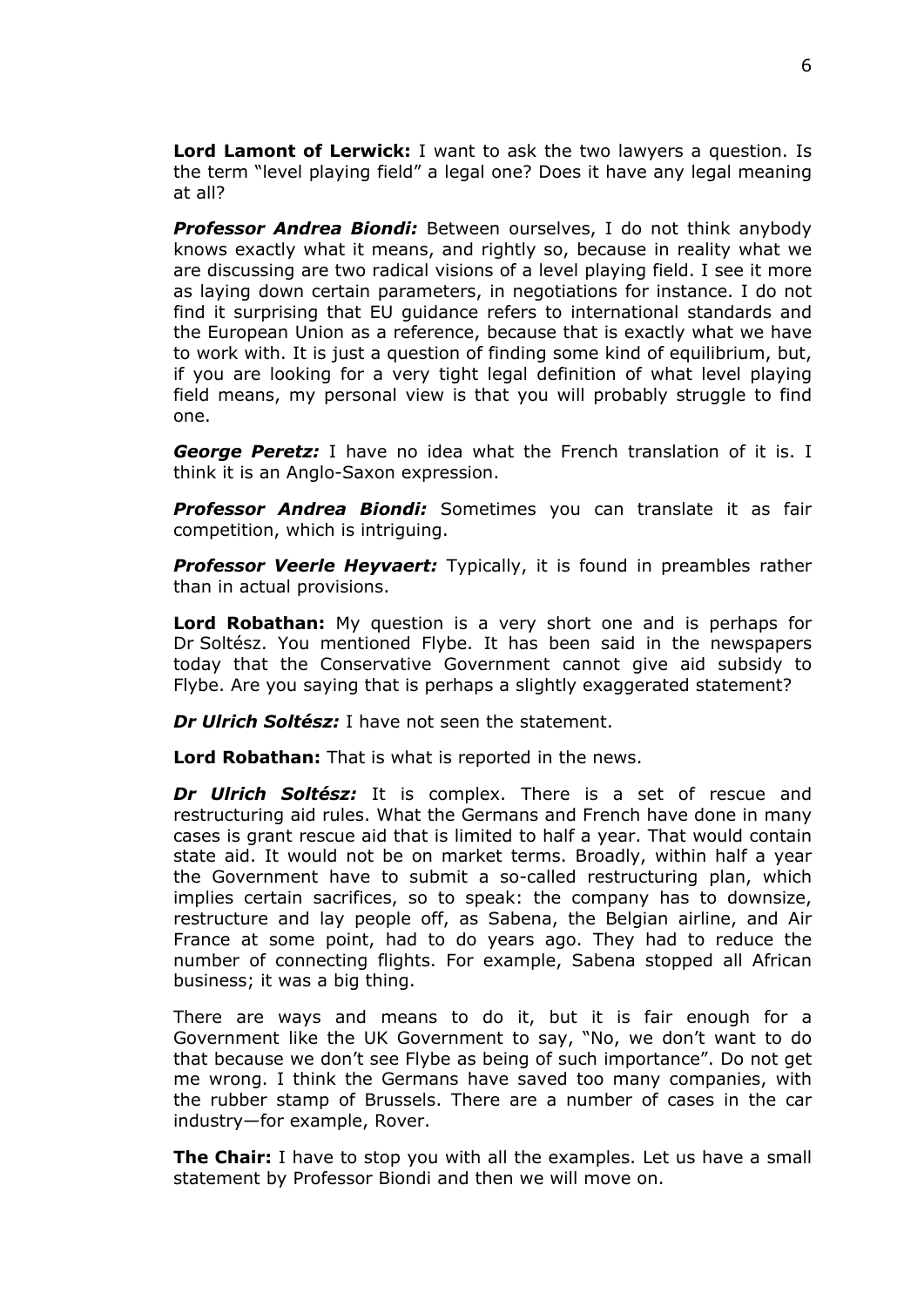**Lord Lamont of Lerwick:** I want to ask the two lawyers a question. Is the term "level playing field" a legal one? Does it have any legal meaning at all?

*Professor Andrea Biondi:* Between ourselves, I do not think anybody knows exactly what it means, and rightly so, because in reality what we are discussing are two radical visions of a level playing field. I see it more as laying down certain parameters, in negotiations for instance. I do not find it surprising that EU guidance refers to international standards and the European Union as a reference, because that is exactly what we have to work with. It is just a question of finding some kind of equilibrium, but, if you are looking for a very tight legal definition of what level playing field means, my personal view is that you will probably struggle to find one.

*George Peretz:* I have no idea what the French translation of it is. I think it is an Anglo-Saxon expression.

*Professor Andrea Biondi:* Sometimes you can translate it as fair competition, which is intriguing.

*Professor Veerle Heyvaert:* Typically, it is found in preambles rather than in actual provisions.

**Lord Robathan:** My question is a very short one and is perhaps for Dr Soltész. You mentioned Flybe. It has been said in the newspapers today that the Conservative Government cannot give aid subsidy to Flybe. Are you saying that is perhaps a slightly exaggerated statement?

*Dr Ulrich Soltész:* I have not seen the statement.

**Lord Robathan:** That is what is reported in the news.

*Dr Ulrich Soltész:* It is complex. There is a set of rescue and restructuring aid rules. What the Germans and French have done in many cases is grant rescue aid that is limited to half a year. That would contain state aid. It would not be on market terms. Broadly, within half a year the Government have to submit a so-called restructuring plan, which implies certain sacrifices, so to speak: the company has to downsize, restructure and lay people off, as Sabena, the Belgian airline, and Air France at some point, had to do years ago. They had to reduce the number of connecting flights. For example, Sabena stopped all African business; it was a big thing.

There are ways and means to do it, but it is fair enough for a Government like the UK Government to say, "No, we don't want to do that because we don't see Flybe as being of such importance". Do not get me wrong. I think the Germans have saved too many companies, with the rubber stamp of Brussels. There are a number of cases in the car industry—for example, Rover.

**The Chair:** I have to stop you with all the examples. Let us have a small statement by Professor Biondi and then we will move on.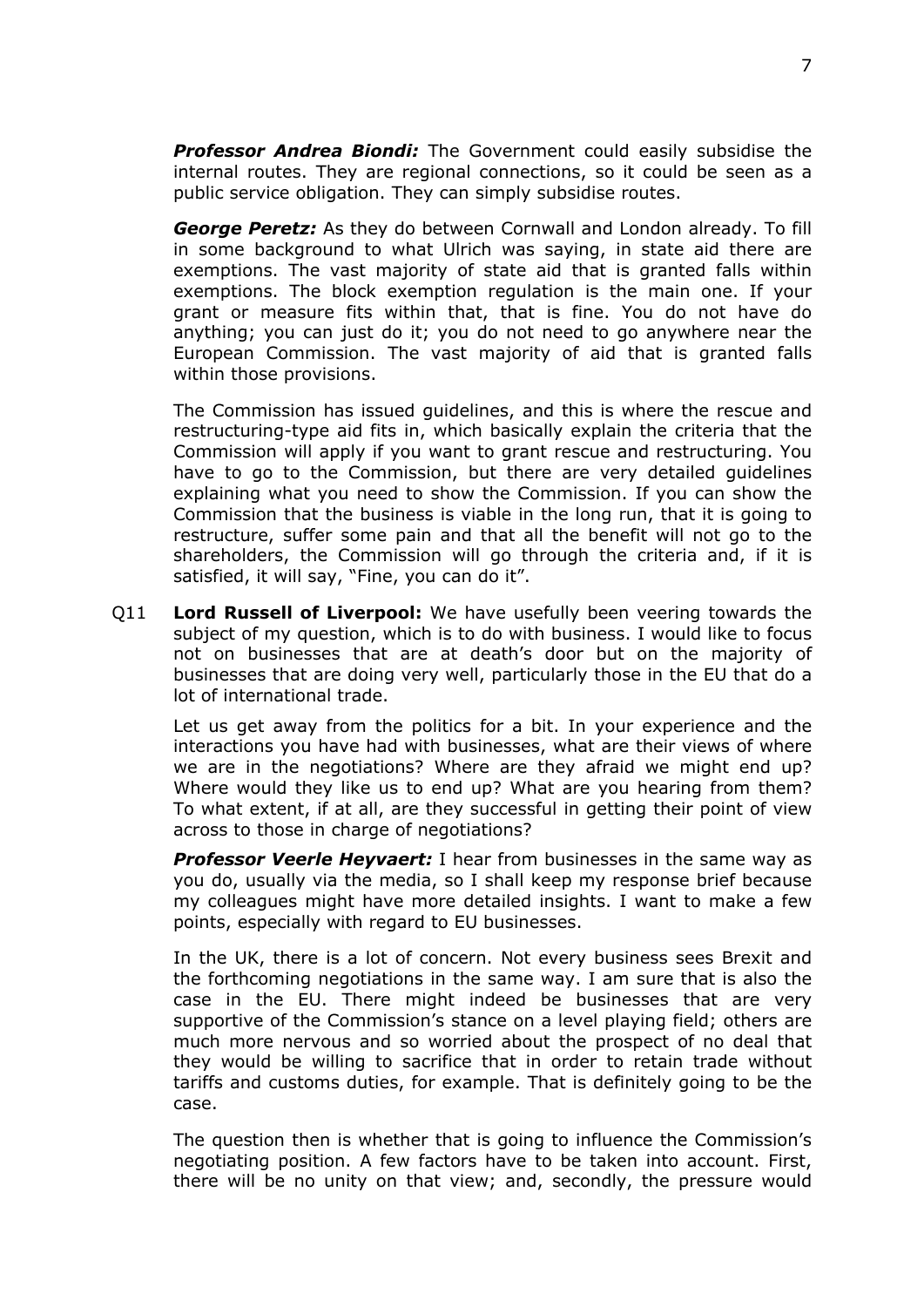*Professor Andrea Biondi:* The Government could easily subsidise the internal routes. They are regional connections, so it could be seen as a public service obligation. They can simply subsidise routes.

*George Peretz:* As they do between Cornwall and London already. To fill in some background to what Ulrich was saying, in state aid there are exemptions. The vast majority of state aid that is granted falls within exemptions. The block exemption regulation is the main one. If your grant or measure fits within that, that is fine. You do not have do anything; you can just do it; you do not need to go anywhere near the European Commission. The vast majority of aid that is granted falls within those provisions.

The Commission has issued guidelines, and this is where the rescue and restructuring-type aid fits in, which basically explain the criteria that the Commission will apply if you want to grant rescue and restructuring. You have to go to the Commission, but there are very detailed guidelines explaining what you need to show the Commission. If you can show the Commission that the business is viable in the long run, that it is going to restructure, suffer some pain and that all the benefit will not go to the shareholders, the Commission will go through the criteria and, if it is satisfied, it will say, "Fine, you can do it".

Q11 **Lord Russell of Liverpool:** We have usefully been veering towards the subject of my question, which is to do with business. I would like to focus not on businesses that are at death's door but on the majority of businesses that are doing very well, particularly those in the EU that do a lot of international trade.

Let us get away from the politics for a bit. In your experience and the interactions you have had with businesses, what are their views of where we are in the negotiations? Where are they afraid we might end up? Where would they like us to end up? What are you hearing from them? To what extent, if at all, are they successful in getting their point of view across to those in charge of negotiations?

*Professor Veerle Heyvaert:* I hear from businesses in the same way as you do, usually via the media, so I shall keep my response brief because my colleagues might have more detailed insights. I want to make a few points, especially with regard to EU businesses.

In the UK, there is a lot of concern. Not every business sees Brexit and the forthcoming negotiations in the same way. I am sure that is also the case in the EU. There might indeed be businesses that are very supportive of the Commission's stance on a level playing field; others are much more nervous and so worried about the prospect of no deal that they would be willing to sacrifice that in order to retain trade without tariffs and customs duties, for example. That is definitely going to be the case.

The question then is whether that is going to influence the Commission's negotiating position. A few factors have to be taken into account. First, there will be no unity on that view; and, secondly, the pressure would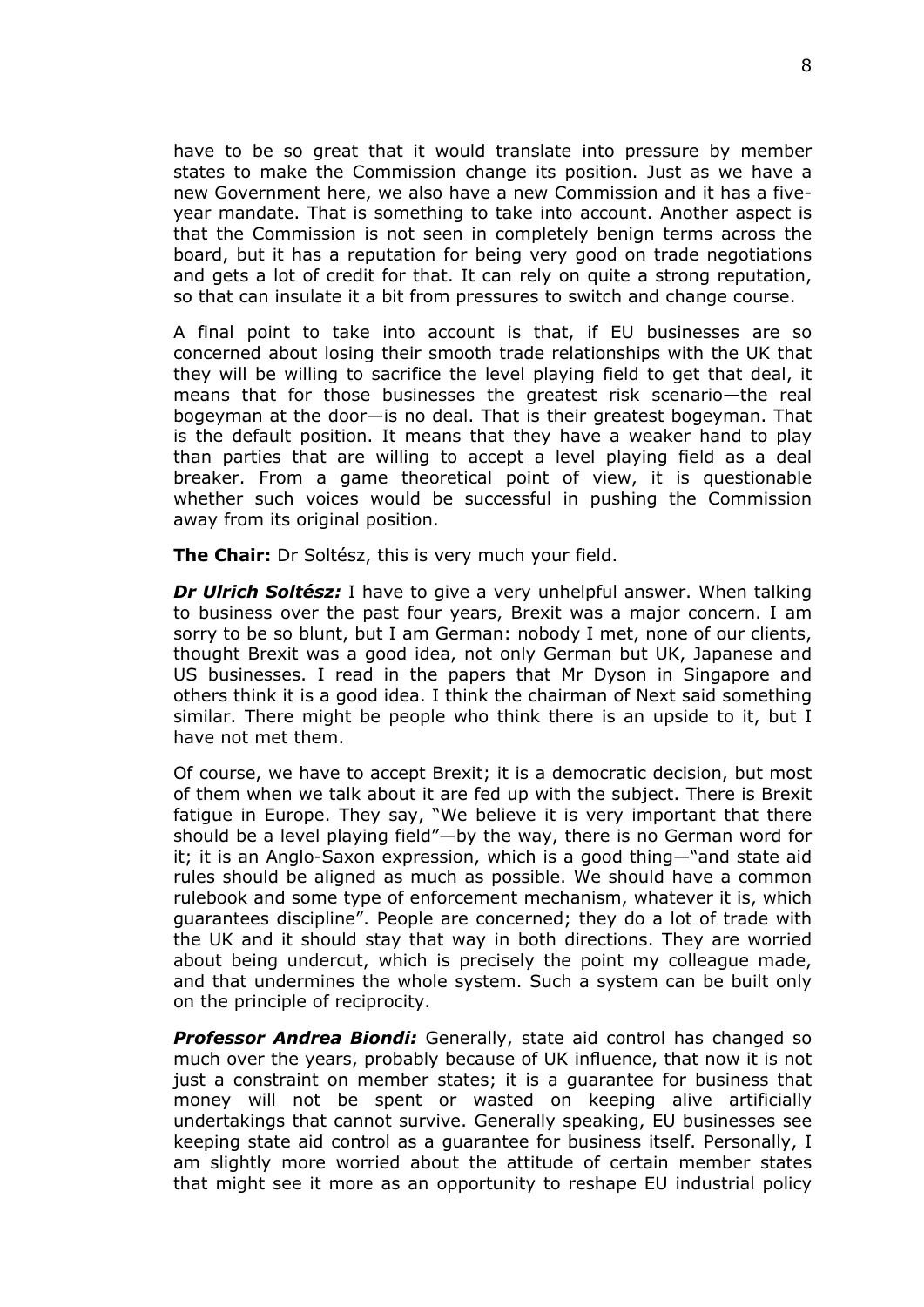have to be so great that it would translate into pressure by member states to make the Commission change its position. Just as we have a new Government here, we also have a new Commission and it has a fiveyear mandate. That is something to take into account. Another aspect is that the Commission is not seen in completely benign terms across the board, but it has a reputation for being very good on trade negotiations and gets a lot of credit for that. It can rely on quite a strong reputation, so that can insulate it a bit from pressures to switch and change course.

A final point to take into account is that, if EU businesses are so concerned about losing their smooth trade relationships with the UK that they will be willing to sacrifice the level playing field to get that deal, it means that for those businesses the greatest risk scenario—the real bogeyman at the door—is no deal. That is their greatest bogeyman. That is the default position. It means that they have a weaker hand to play than parties that are willing to accept a level playing field as a deal breaker. From a game theoretical point of view, it is questionable whether such voices would be successful in pushing the Commission away from its original position.

**The Chair:** Dr Soltész, this is very much your field.

*Dr Ulrich Soltész:* I have to give a very unhelpful answer. When talking to business over the past four years, Brexit was a major concern. I am sorry to be so blunt, but I am German: nobody I met, none of our clients, thought Brexit was a good idea, not only German but UK, Japanese and US businesses. I read in the papers that Mr Dyson in Singapore and others think it is a good idea. I think the chairman of Next said something similar. There might be people who think there is an upside to it, but I have not met them.

Of course, we have to accept Brexit; it is a democratic decision, but most of them when we talk about it are fed up with the subject. There is Brexit fatigue in Europe. They say, "We believe it is very important that there should be a level playing field"—by the way, there is no German word for it; it is an Anglo-Saxon expression, which is a good thing—"and state aid rules should be aligned as much as possible. We should have a common rulebook and some type of enforcement mechanism, whatever it is, which guarantees discipline". People are concerned; they do a lot of trade with the UK and it should stay that way in both directions. They are worried about being undercut, which is precisely the point my colleague made, and that undermines the whole system. Such a system can be built only on the principle of reciprocity.

*Professor Andrea Biondi:* Generally, state aid control has changed so much over the years, probably because of UK influence, that now it is not just a constraint on member states; it is a guarantee for business that money will not be spent or wasted on keeping alive artificially undertakings that cannot survive. Generally speaking, EU businesses see keeping state aid control as a guarantee for business itself. Personally, I am slightly more worried about the attitude of certain member states that might see it more as an opportunity to reshape EU industrial policy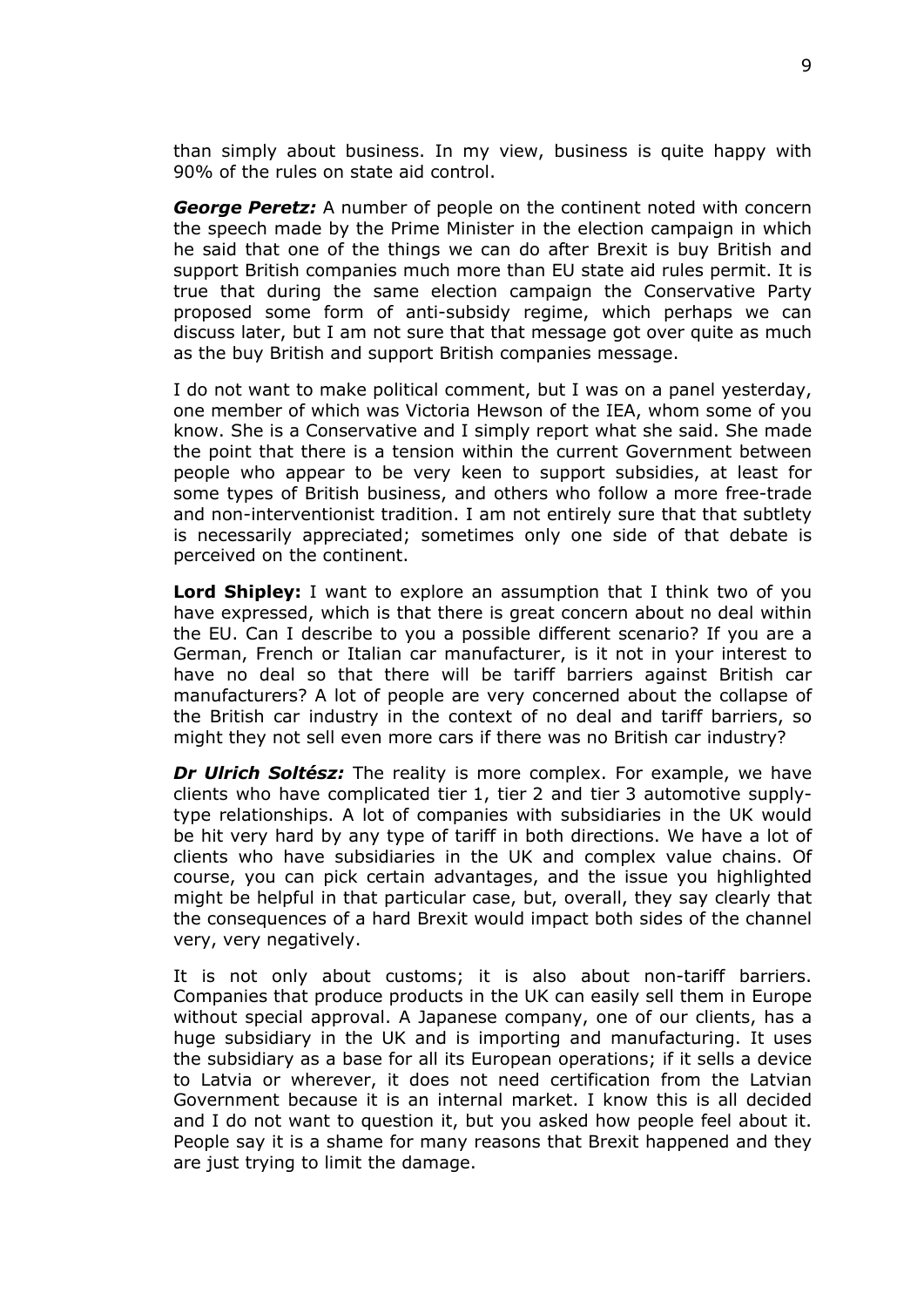than simply about business. In my view, business is quite happy with 90% of the rules on state aid control.

*George Peretz:* A number of people on the continent noted with concern the speech made by the Prime Minister in the election campaign in which he said that one of the things we can do after Brexit is buy British and support British companies much more than EU state aid rules permit. It is true that during the same election campaign the Conservative Party proposed some form of anti-subsidy regime, which perhaps we can discuss later, but I am not sure that that message got over quite as much as the buy British and support British companies message.

I do not want to make political comment, but I was on a panel yesterday, one member of which was Victoria Hewson of the IEA, whom some of you know. She is a Conservative and I simply report what she said. She made the point that there is a tension within the current Government between people who appear to be very keen to support subsidies, at least for some types of British business, and others who follow a more free-trade and non-interventionist tradition. I am not entirely sure that that subtlety is necessarily appreciated; sometimes only one side of that debate is perceived on the continent.

**Lord Shipley:** I want to explore an assumption that I think two of you have expressed, which is that there is great concern about no deal within the EU. Can I describe to you a possible different scenario? If you are a German, French or Italian car manufacturer, is it not in your interest to have no deal so that there will be tariff barriers against British car manufacturers? A lot of people are very concerned about the collapse of the British car industry in the context of no deal and tariff barriers, so might they not sell even more cars if there was no British car industry?

*Dr Ulrich Soltész:* The reality is more complex. For example, we have clients who have complicated tier 1, tier 2 and tier 3 automotive supplytype relationships. A lot of companies with subsidiaries in the UK would be hit very hard by any type of tariff in both directions. We have a lot of clients who have subsidiaries in the UK and complex value chains. Of course, you can pick certain advantages, and the issue you highlighted might be helpful in that particular case, but, overall, they say clearly that the consequences of a hard Brexit would impact both sides of the channel very, very negatively.

It is not only about customs; it is also about non-tariff barriers. Companies that produce products in the UK can easily sell them in Europe without special approval. A Japanese company, one of our clients, has a huge subsidiary in the UK and is importing and manufacturing. It uses the subsidiary as a base for all its European operations; if it sells a device to Latvia or wherever, it does not need certification from the Latvian Government because it is an internal market. I know this is all decided and I do not want to question it, but you asked how people feel about it. People say it is a shame for many reasons that Brexit happened and they are just trying to limit the damage.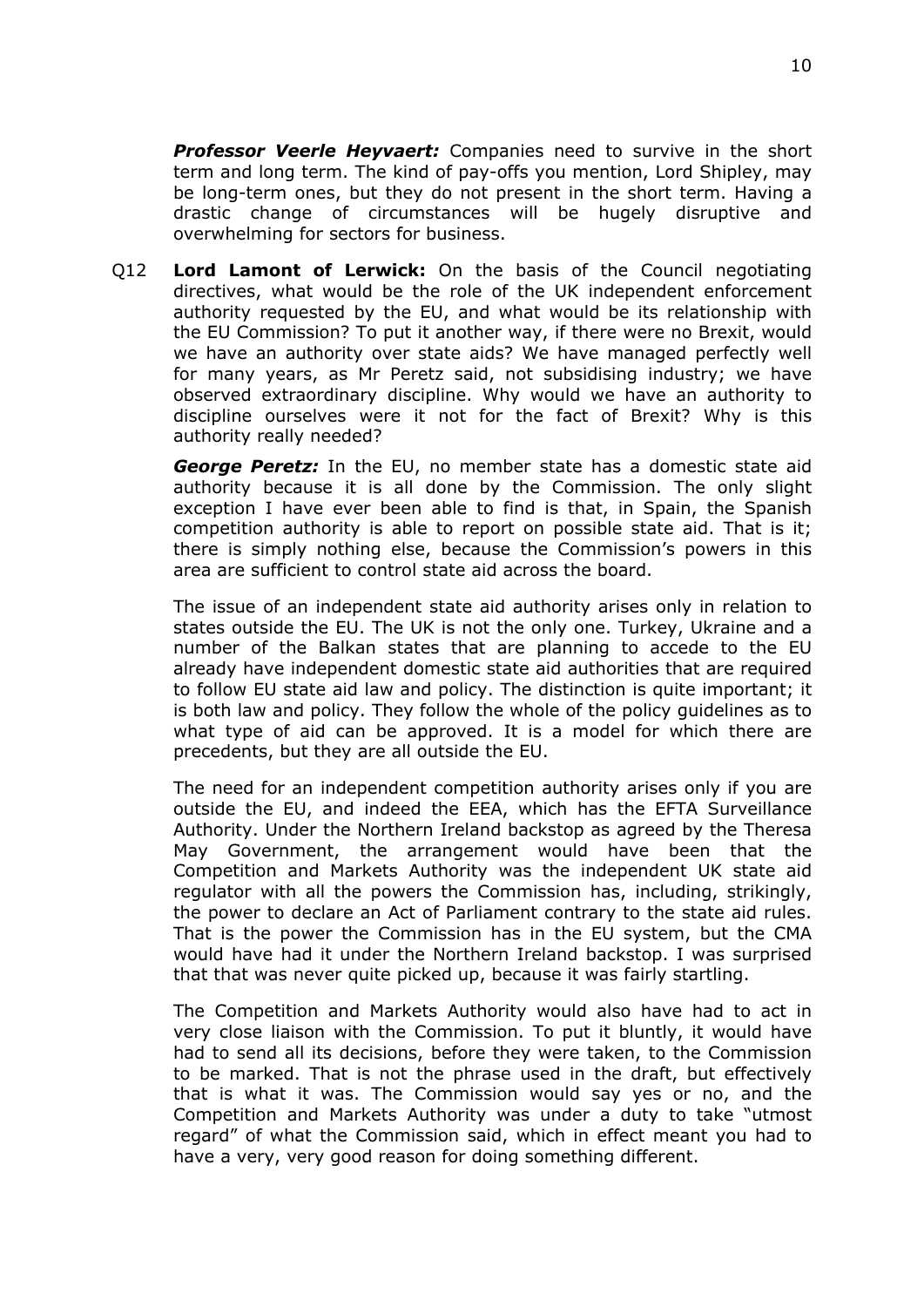*Professor Veerle Heyvaert:* Companies need to survive in the short term and long term. The kind of pay-offs you mention, Lord Shipley, may be long-term ones, but they do not present in the short term. Having a drastic change of circumstances will be hugely disruptive and overwhelming for sectors for business.

Q12 **Lord Lamont of Lerwick:** On the basis of the Council negotiating directives, what would be the role of the UK independent enforcement authority requested by the EU, and what would be its relationship with the EU Commission? To put it another way, if there were no Brexit, would we have an authority over state aids? We have managed perfectly well for many years, as Mr Peretz said, not subsidising industry; we have observed extraordinary discipline. Why would we have an authority to discipline ourselves were it not for the fact of Brexit? Why is this authority really needed?

*George Peretz:* In the EU, no member state has a domestic state aid authority because it is all done by the Commission. The only slight exception I have ever been able to find is that, in Spain, the Spanish competition authority is able to report on possible state aid. That is it; there is simply nothing else, because the Commission's powers in this area are sufficient to control state aid across the board.

The issue of an independent state aid authority arises only in relation to states outside the EU. The UK is not the only one. Turkey, Ukraine and a number of the Balkan states that are planning to accede to the EU already have independent domestic state aid authorities that are required to follow EU state aid law and policy. The distinction is quite important; it is both law and policy. They follow the whole of the policy guidelines as to what type of aid can be approved. It is a model for which there are precedents, but they are all outside the EU.

The need for an independent competition authority arises only if you are outside the EU, and indeed the EEA, which has the EFTA Surveillance Authority. Under the Northern Ireland backstop as agreed by the Theresa May Government, the arrangement would have been that the Competition and Markets Authority was the independent UK state aid regulator with all the powers the Commission has, including, strikingly, the power to declare an Act of Parliament contrary to the state aid rules. That is the power the Commission has in the EU system, but the CMA would have had it under the Northern Ireland backstop. I was surprised that that was never quite picked up, because it was fairly startling.

The Competition and Markets Authority would also have had to act in very close liaison with the Commission. To put it bluntly, it would have had to send all its decisions, before they were taken, to the Commission to be marked. That is not the phrase used in the draft, but effectively that is what it was. The Commission would say yes or no, and the Competition and Markets Authority was under a duty to take "utmost regard" of what the Commission said, which in effect meant you had to have a very, very good reason for doing something different.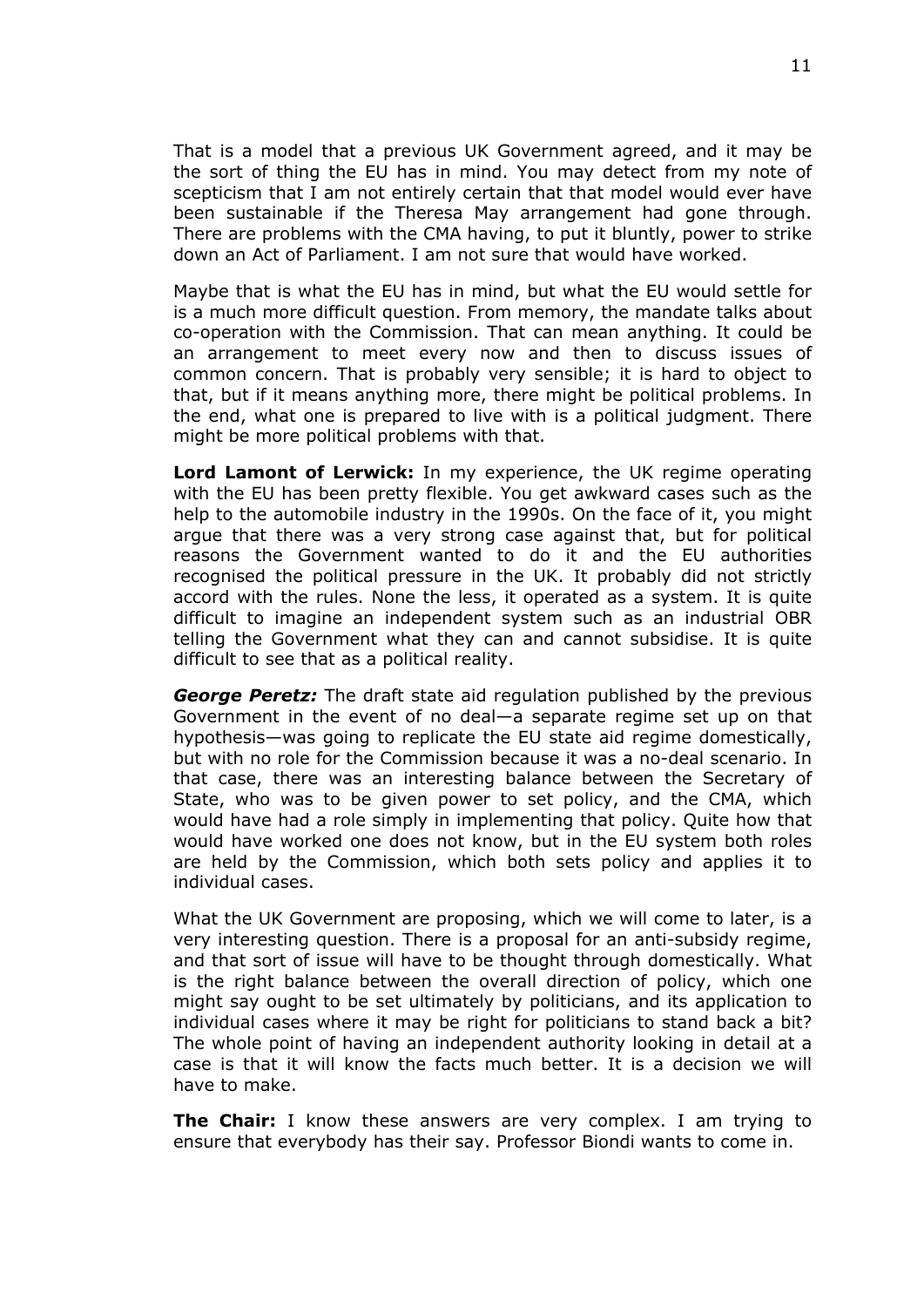That is a model that a previous UK Government agreed, and it may be the sort of thing the EU has in mind. You may detect from my note of scepticism that I am not entirely certain that that model would ever have been sustainable if the Theresa May arrangement had gone through. There are problems with the CMA having, to put it bluntly, power to strike down an Act of Parliament. I am not sure that would have worked.

Maybe that is what the EU has in mind, but what the EU would settle for is a much more difficult question. From memory, the mandate talks about co-operation with the Commission. That can mean anything. It could be an arrangement to meet every now and then to discuss issues of common concern. That is probably very sensible; it is hard to object to that, but if it means anything more, there might be political problems. In the end, what one is prepared to live with is a political judgment. There might be more political problems with that.

**Lord Lamont of Lerwick:** In my experience, the UK regime operating with the EU has been pretty flexible. You get awkward cases such as the help to the automobile industry in the 1990s. On the face of it, you might argue that there was a very strong case against that, but for political reasons the Government wanted to do it and the EU authorities recognised the political pressure in the UK. It probably did not strictly accord with the rules. None the less, it operated as a system. It is quite difficult to imagine an independent system such as an industrial OBR telling the Government what they can and cannot subsidise. It is quite difficult to see that as a political reality.

*George Peretz:* The draft state aid regulation published by the previous Government in the event of no deal—a separate regime set up on that hypothesis—was going to replicate the EU state aid regime domestically, but with no role for the Commission because it was a no-deal scenario. In that case, there was an interesting balance between the Secretary of State, who was to be given power to set policy, and the CMA, which would have had a role simply in implementing that policy. Quite how that would have worked one does not know, but in the EU system both roles are held by the Commission, which both sets policy and applies it to individual cases.

What the UK Government are proposing, which we will come to later, is a very interesting question. There is a proposal for an anti-subsidy regime, and that sort of issue will have to be thought through domestically. What is the right balance between the overall direction of policy, which one might say ought to be set ultimately by politicians, and its application to individual cases where it may be right for politicians to stand back a bit? The whole point of having an independent authority looking in detail at a case is that it will know the facts much better. It is a decision we will have to make.

**The Chair:** I know these answers are very complex. I am trying to ensure that everybody has their say. Professor Biondi wants to come in.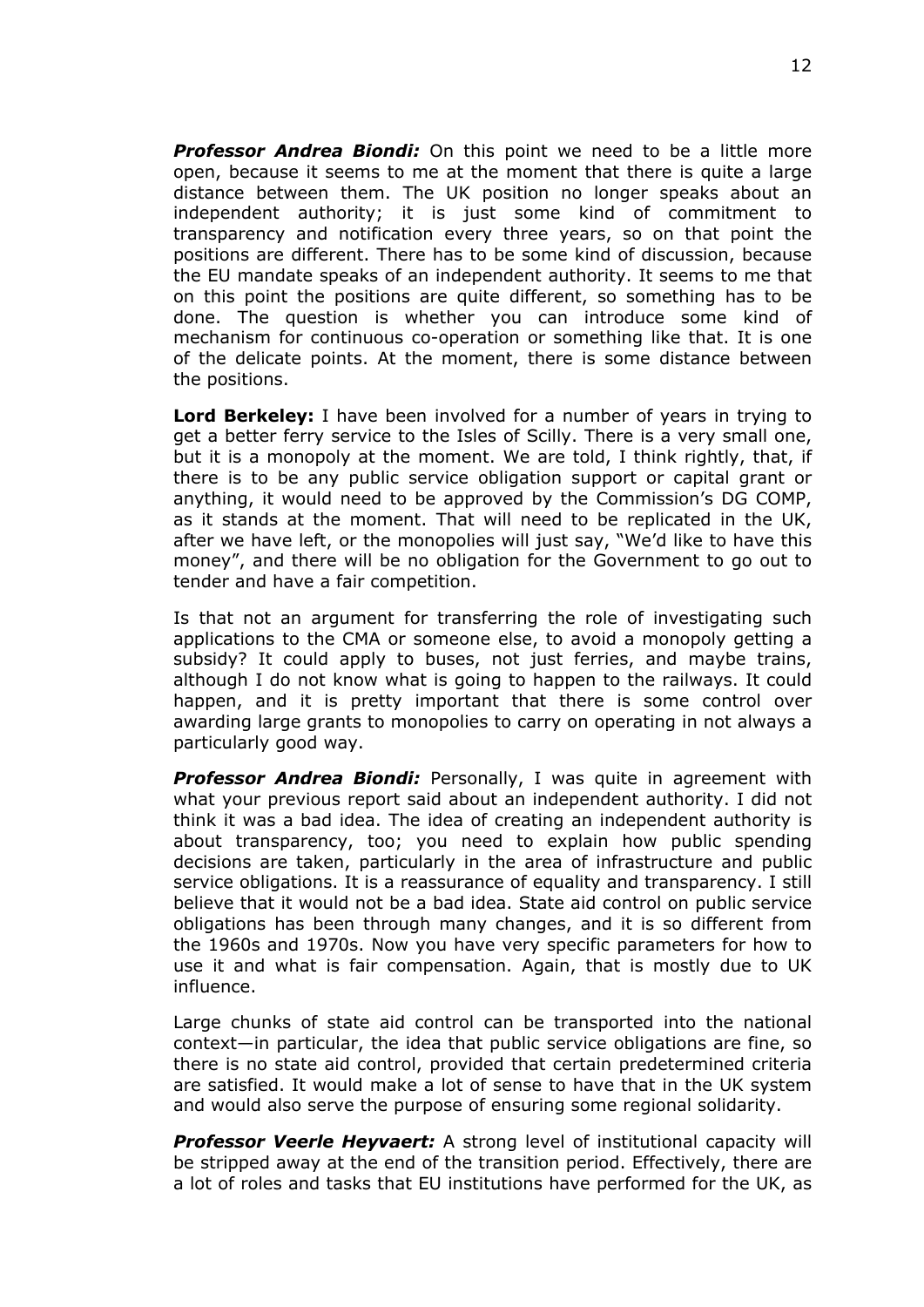*Professor Andrea Biondi:* On this point we need to be a little more open, because it seems to me at the moment that there is quite a large distance between them. The UK position no longer speaks about an independent authority; it is just some kind of commitment to transparency and notification every three years, so on that point the positions are different. There has to be some kind of discussion, because the EU mandate speaks of an independent authority. It seems to me that on this point the positions are quite different, so something has to be done. The question is whether you can introduce some kind of mechanism for continuous co-operation or something like that. It is one of the delicate points. At the moment, there is some distance between the positions.

**Lord Berkeley:** I have been involved for a number of years in trying to get a better ferry service to the Isles of Scilly. There is a very small one, but it is a monopoly at the moment. We are told, I think rightly, that, if there is to be any public service obligation support or capital grant or anything, it would need to be approved by the Commission's DG COMP, as it stands at the moment. That will need to be replicated in the UK, after we have left, or the monopolies will just say, "We'd like to have this money", and there will be no obligation for the Government to go out to tender and have a fair competition.

Is that not an argument for transferring the role of investigating such applications to the CMA or someone else, to avoid a monopoly getting a subsidy? It could apply to buses, not just ferries, and maybe trains, although I do not know what is going to happen to the railways. It could happen, and it is pretty important that there is some control over awarding large grants to monopolies to carry on operating in not always a particularly good way.

*Professor Andrea Biondi:* Personally, I was quite in agreement with what your previous report said about an independent authority. I did not think it was a bad idea. The idea of creating an independent authority is about transparency, too; you need to explain how public spending decisions are taken, particularly in the area of infrastructure and public service obligations. It is a reassurance of equality and transparency. I still believe that it would not be a bad idea. State aid control on public service obligations has been through many changes, and it is so different from the 1960s and 1970s. Now you have very specific parameters for how to use it and what is fair compensation. Again, that is mostly due to UK influence.

Large chunks of state aid control can be transported into the national context—in particular, the idea that public service obligations are fine, so there is no state aid control, provided that certain predetermined criteria are satisfied. It would make a lot of sense to have that in the UK system and would also serve the purpose of ensuring some regional solidarity.

*Professor Veerle Heyvaert:* A strong level of institutional capacity will be stripped away at the end of the transition period. Effectively, there are a lot of roles and tasks that EU institutions have performed for the UK, as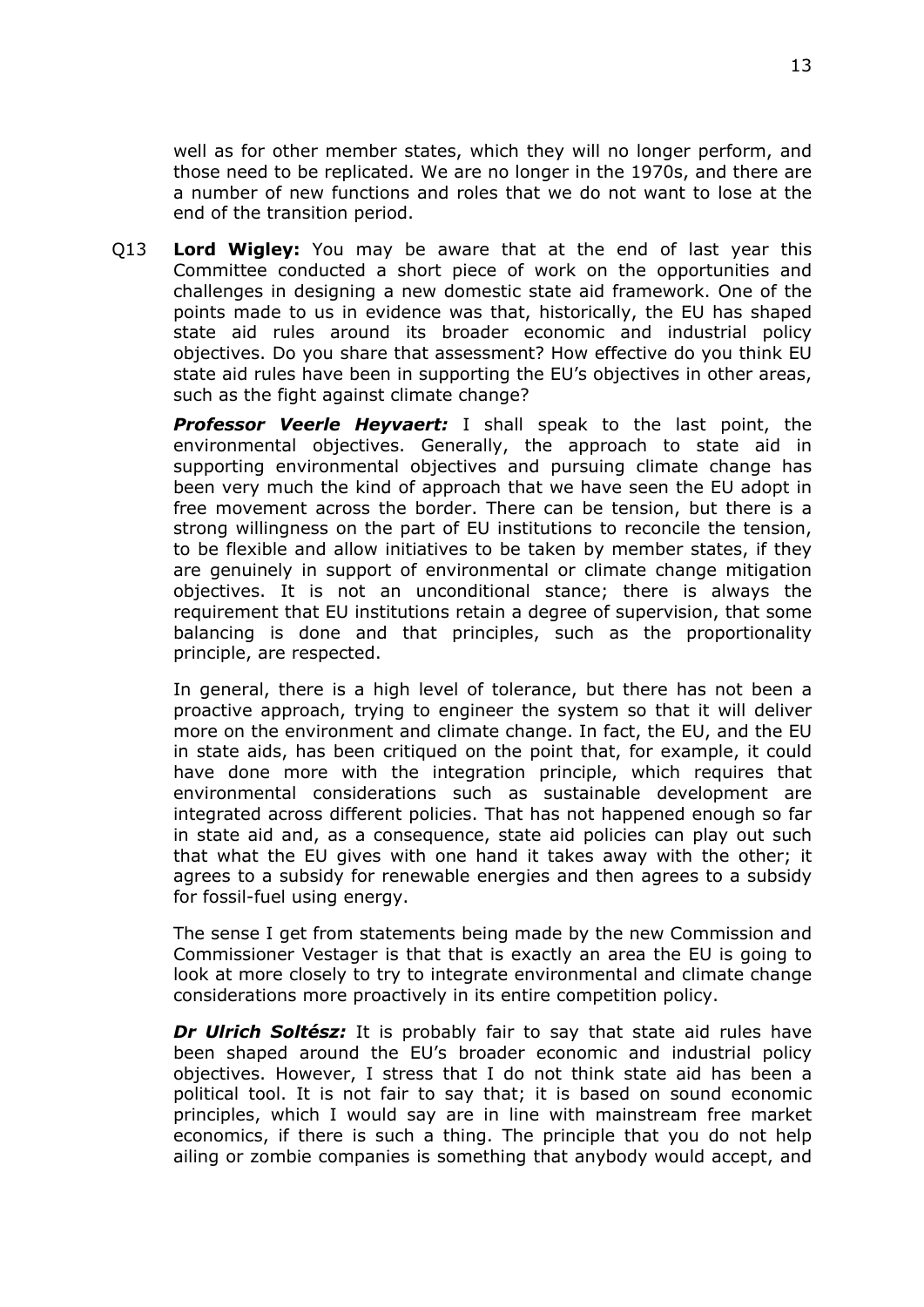well as for other member states, which they will no longer perform, and those need to be replicated. We are no longer in the 1970s, and there are a number of new functions and roles that we do not want to lose at the end of the transition period.

Q13 **Lord Wigley:** You may be aware that at the end of last year this Committee conducted a short piece of work on the opportunities and challenges in designing a new domestic state aid framework. One of the points made to us in evidence was that, historically, the EU has shaped state aid rules around its broader economic and industrial policy objectives. Do you share that assessment? How effective do you think EU state aid rules have been in supporting the EU's objectives in other areas, such as the fight against climate change?

*Professor Veerle Heyvaert:* I shall speak to the last point, the environmental objectives. Generally, the approach to state aid in supporting environmental objectives and pursuing climate change has been very much the kind of approach that we have seen the EU adopt in free movement across the border. There can be tension, but there is a strong willingness on the part of EU institutions to reconcile the tension, to be flexible and allow initiatives to be taken by member states, if they are genuinely in support of environmental or climate change mitigation objectives. It is not an unconditional stance; there is always the requirement that EU institutions retain a degree of supervision, that some balancing is done and that principles, such as the proportionality principle, are respected.

In general, there is a high level of tolerance, but there has not been a proactive approach, trying to engineer the system so that it will deliver more on the environment and climate change. In fact, the EU, and the EU in state aids, has been critiqued on the point that, for example, it could have done more with the integration principle, which requires that environmental considerations such as sustainable development are integrated across different policies. That has not happened enough so far in state aid and, as a consequence, state aid policies can play out such that what the EU gives with one hand it takes away with the other; it agrees to a subsidy for renewable energies and then agrees to a subsidy for fossil-fuel using energy.

The sense I get from statements being made by the new Commission and Commissioner Vestager is that that is exactly an area the EU is going to look at more closely to try to integrate environmental and climate change considerations more proactively in its entire competition policy.

*Dr Ulrich Soltész:* It is probably fair to say that state aid rules have been shaped around the EU's broader economic and industrial policy objectives. However, I stress that I do not think state aid has been a political tool. It is not fair to say that; it is based on sound economic principles, which I would say are in line with mainstream free market economics, if there is such a thing. The principle that you do not help ailing or zombie companies is something that anybody would accept, and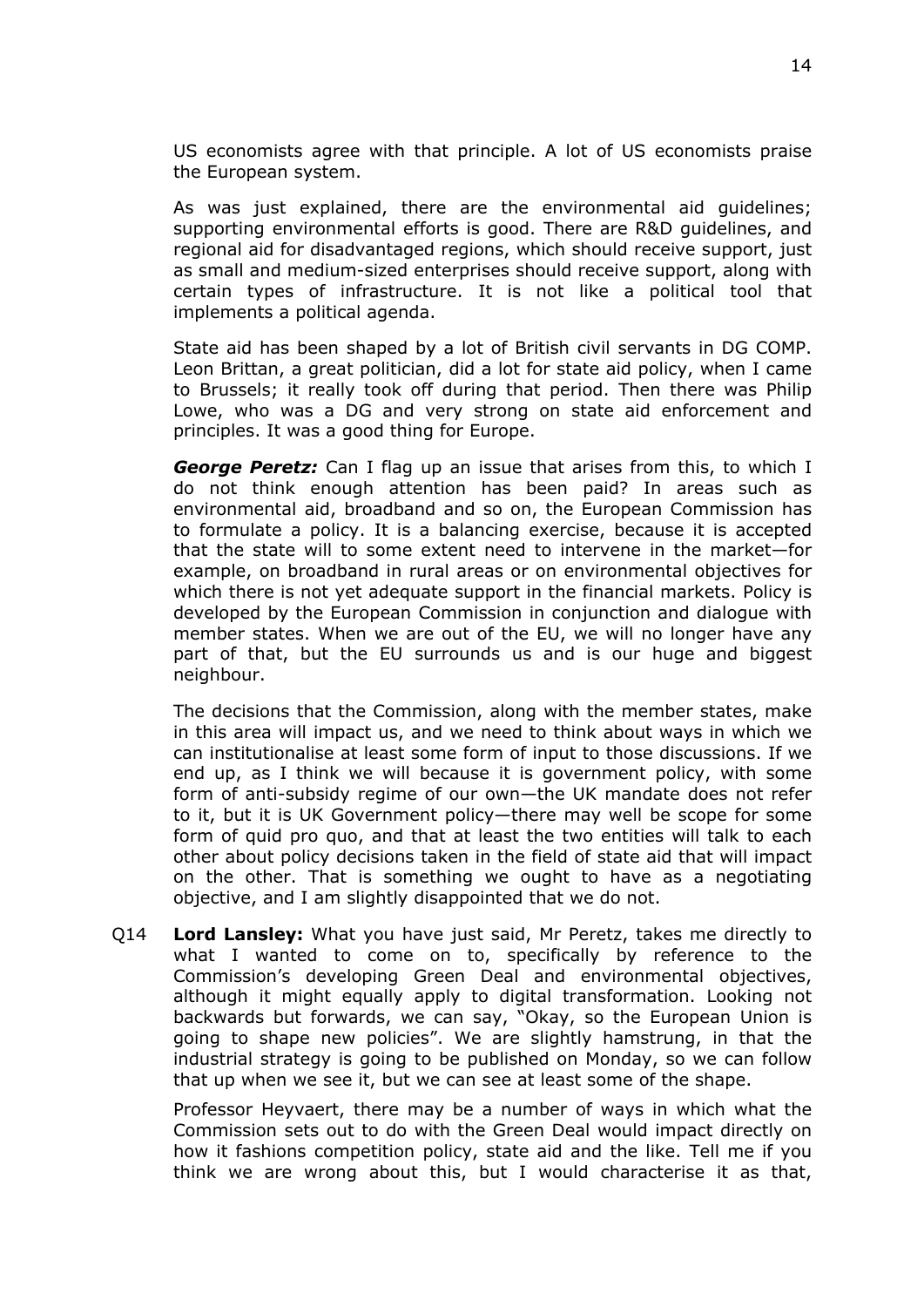US economists agree with that principle. A lot of US economists praise the European system.

As was just explained, there are the environmental aid guidelines; supporting environmental efforts is good. There are R&D guidelines, and regional aid for disadvantaged regions, which should receive support, just as small and medium-sized enterprises should receive support, along with certain types of infrastructure. It is not like a political tool that implements a political agenda.

State aid has been shaped by a lot of British civil servants in DG COMP. Leon Brittan, a great politician, did a lot for state aid policy, when I came to Brussels; it really took off during that period. Then there was Philip Lowe, who was a DG and very strong on state aid enforcement and principles. It was a good thing for Europe.

*George Peretz:* Can I flag up an issue that arises from this, to which I do not think enough attention has been paid? In areas such as environmental aid, broadband and so on, the European Commission has to formulate a policy. It is a balancing exercise, because it is accepted that the state will to some extent need to intervene in the market—for example, on broadband in rural areas or on environmental objectives for which there is not yet adequate support in the financial markets. Policy is developed by the European Commission in conjunction and dialogue with member states. When we are out of the EU, we will no longer have any part of that, but the EU surrounds us and is our huge and biggest neighbour.

The decisions that the Commission, along with the member states, make in this area will impact us, and we need to think about ways in which we can institutionalise at least some form of input to those discussions. If we end up, as I think we will because it is government policy, with some form of anti-subsidy regime of our own—the UK mandate does not refer to it, but it is UK Government policy—there may well be scope for some form of quid pro quo, and that at least the two entities will talk to each other about policy decisions taken in the field of state aid that will impact on the other. That is something we ought to have as a negotiating objective, and I am slightly disappointed that we do not.

Q14 **Lord Lansley:** What you have just said, Mr Peretz, takes me directly to what I wanted to come on to, specifically by reference to the Commission's developing Green Deal and environmental objectives, although it might equally apply to digital transformation. Looking not backwards but forwards, we can say, "Okay, so the European Union is going to shape new policies". We are slightly hamstrung, in that the industrial strategy is going to be published on Monday, so we can follow that up when we see it, but we can see at least some of the shape.

Professor Heyvaert, there may be a number of ways in which what the Commission sets out to do with the Green Deal would impact directly on how it fashions competition policy, state aid and the like. Tell me if you think we are wrong about this, but I would characterise it as that,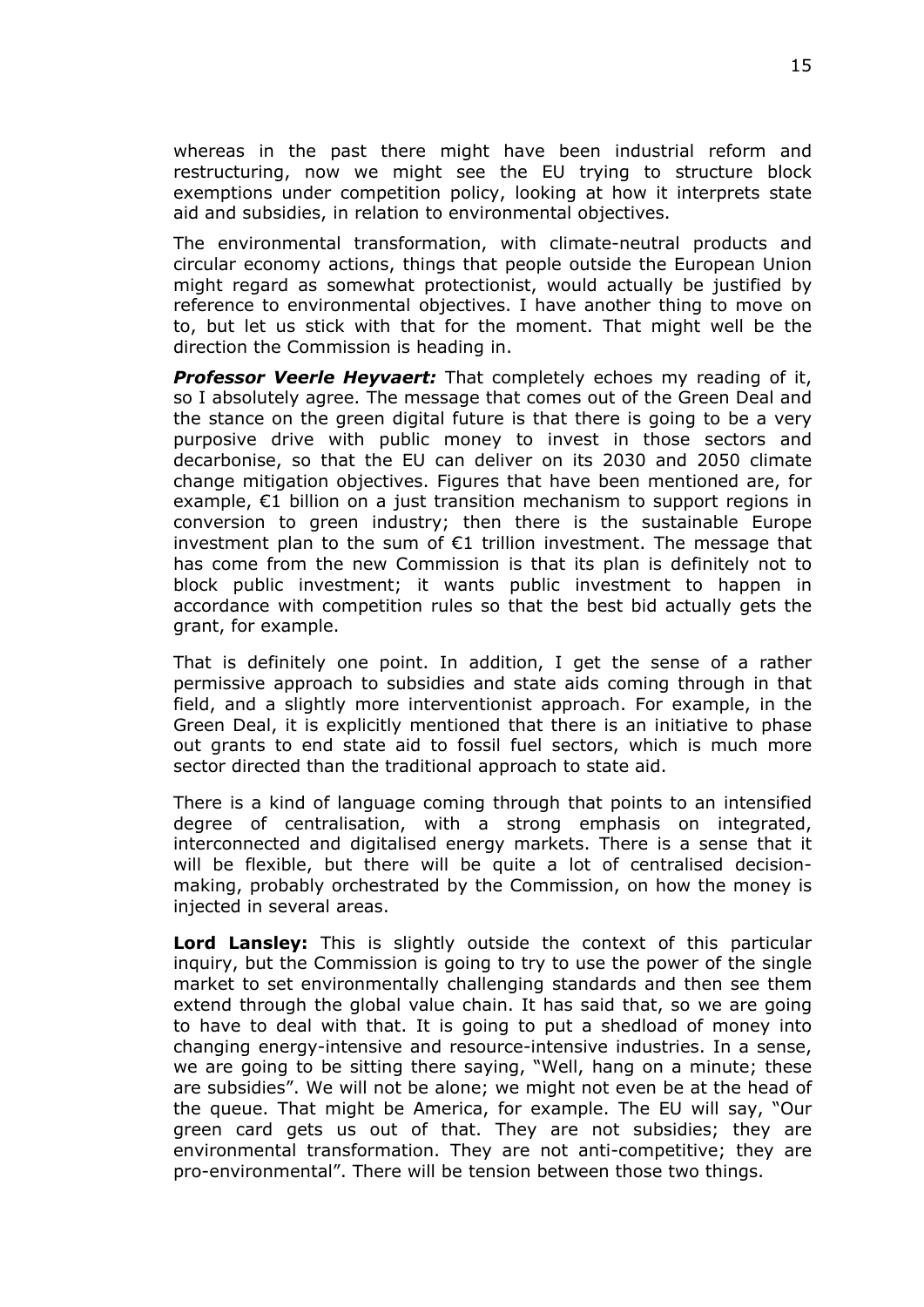whereas in the past there might have been industrial reform and restructuring, now we might see the EU trying to structure block exemptions under competition policy, looking at how it interprets state aid and subsidies, in relation to environmental objectives.

The environmental transformation, with climate-neutral products and circular economy actions, things that people outside the European Union might regard as somewhat protectionist, would actually be justified by reference to environmental objectives. I have another thing to move on to, but let us stick with that for the moment. That might well be the direction the Commission is heading in.

*Professor Veerle Heyvaert:* That completely echoes my reading of it, so I absolutely agree. The message that comes out of the Green Deal and the stance on the green digital future is that there is going to be a very purposive drive with public money to invest in those sectors and decarbonise, so that the EU can deliver on its 2030 and 2050 climate change mitigation objectives. Figures that have been mentioned are, for example, €1 billion on a just transition mechanism to support regions in conversion to green industry; then there is the sustainable Europe investment plan to the sum of  $E1$  trillion investment. The message that has come from the new Commission is that its plan is definitely not to block public investment; it wants public investment to happen in accordance with competition rules so that the best bid actually gets the grant, for example.

That is definitely one point. In addition, I get the sense of a rather permissive approach to subsidies and state aids coming through in that field, and a slightly more interventionist approach. For example, in the Green Deal, it is explicitly mentioned that there is an initiative to phase out grants to end state aid to fossil fuel sectors, which is much more sector directed than the traditional approach to state aid.

There is a kind of language coming through that points to an intensified degree of centralisation, with a strong emphasis on integrated, interconnected and digitalised energy markets. There is a sense that it will be flexible, but there will be quite a lot of centralised decisionmaking, probably orchestrated by the Commission, on how the money is injected in several areas.

**Lord Lansley:** This is slightly outside the context of this particular inquiry, but the Commission is going to try to use the power of the single market to set environmentally challenging standards and then see them extend through the global value chain. It has said that, so we are going to have to deal with that. It is going to put a shedload of money into changing energy-intensive and resource-intensive industries. In a sense, we are going to be sitting there saying, "Well, hang on a minute; these are subsidies". We will not be alone; we might not even be at the head of the queue. That might be America, for example. The EU will say, "Our green card gets us out of that. They are not subsidies; they are environmental transformation. They are not anti-competitive; they are pro-environmental". There will be tension between those two things.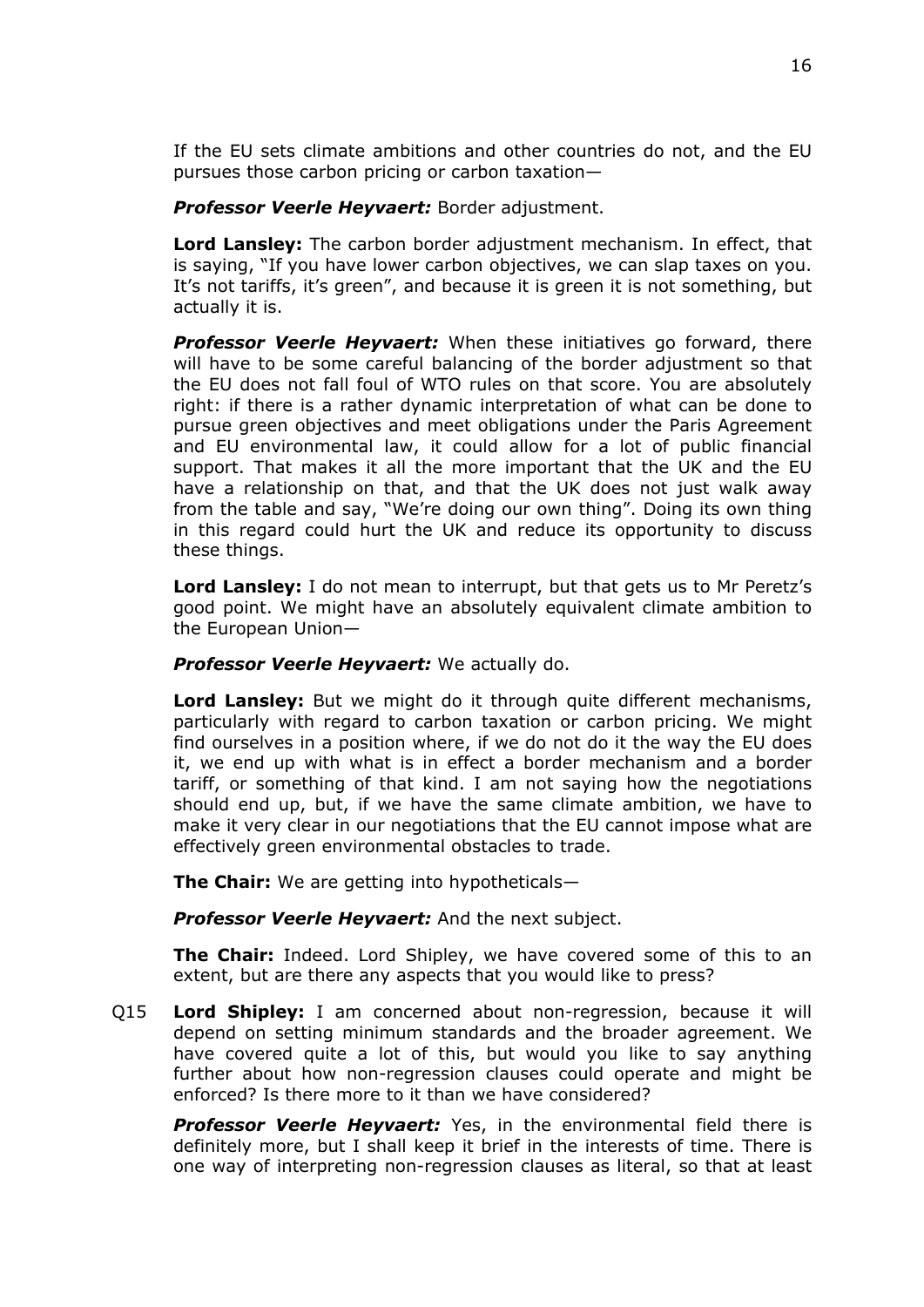If the EU sets climate ambitions and other countries do not, and the EU pursues those carbon pricing or carbon taxation—

*Professor Veerle Heyvaert:* Border adjustment.

**Lord Lansley:** The carbon border adjustment mechanism. In effect, that is saying, "If you have lower carbon objectives, we can slap taxes on you. It's not tariffs, it's green", and because it is green it is not something, but actually it is.

*Professor Veerle Heyvaert:* When these initiatives go forward, there will have to be some careful balancing of the border adjustment so that the EU does not fall foul of WTO rules on that score. You are absolutely right: if there is a rather dynamic interpretation of what can be done to pursue green objectives and meet obligations under the Paris Agreement and EU environmental law, it could allow for a lot of public financial support. That makes it all the more important that the UK and the EU have a relationship on that, and that the UK does not just walk away from the table and say, "We're doing our own thing". Doing its own thing in this regard could hurt the UK and reduce its opportunity to discuss these things.

**Lord Lansley:** I do not mean to interrupt, but that gets us to Mr Peretz's good point. We might have an absolutely equivalent climate ambition to the European Union—

## *Professor Veerle Heyvaert:* We actually do.

**Lord Lansley:** But we might do it through quite different mechanisms, particularly with regard to carbon taxation or carbon pricing. We might find ourselves in a position where, if we do not do it the way the EU does it, we end up with what is in effect a border mechanism and a border tariff, or something of that kind. I am not saying how the negotiations should end up, but, if we have the same climate ambition, we have to make it very clear in our negotiations that the EU cannot impose what are effectively green environmental obstacles to trade.

**The Chair:** We are getting into hypotheticals—

*Professor Veerle Heyvaert:* And the next subject.

**The Chair:** Indeed. Lord Shipley, we have covered some of this to an extent, but are there any aspects that you would like to press?

Q15 **Lord Shipley:** I am concerned about non-regression, because it will depend on setting minimum standards and the broader agreement. We have covered quite a lot of this, but would you like to say anything further about how non-regression clauses could operate and might be enforced? Is there more to it than we have considered?

*Professor Veerle Heyvaert:* Yes, in the environmental field there is definitely more, but I shall keep it brief in the interests of time. There is one way of interpreting non-regression clauses as literal, so that at least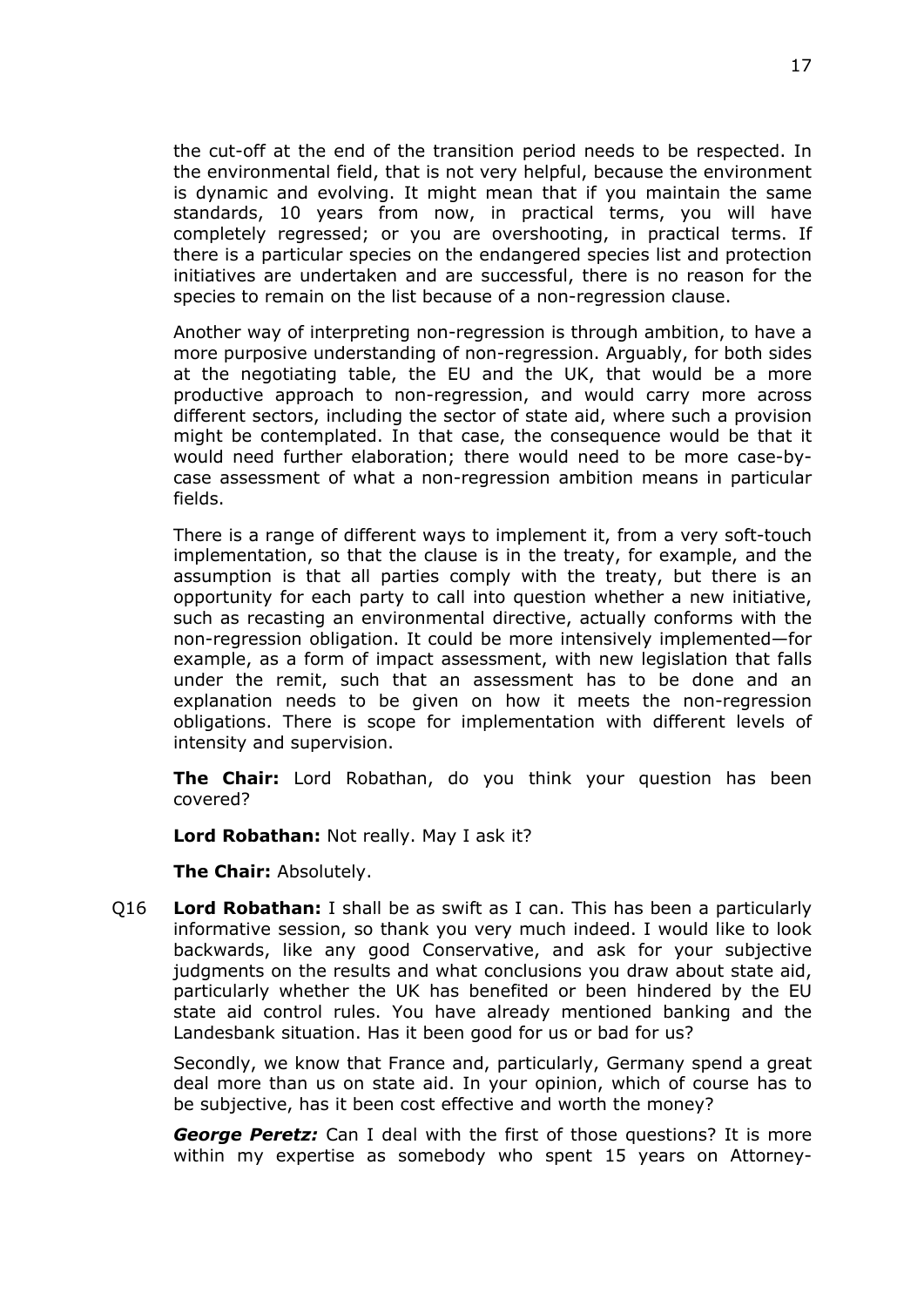the cut-off at the end of the transition period needs to be respected. In the environmental field, that is not very helpful, because the environment is dynamic and evolving. It might mean that if you maintain the same standards, 10 years from now, in practical terms, you will have completely regressed; or you are overshooting, in practical terms. If there is a particular species on the endangered species list and protection initiatives are undertaken and are successful, there is no reason for the species to remain on the list because of a non-regression clause.

Another way of interpreting non-regression is through ambition, to have a more purposive understanding of non-regression. Arguably, for both sides at the negotiating table, the EU and the UK, that would be a more productive approach to non-regression, and would carry more across different sectors, including the sector of state aid, where such a provision might be contemplated. In that case, the consequence would be that it would need further elaboration; there would need to be more case-bycase assessment of what a non-regression ambition means in particular fields.

There is a range of different ways to implement it, from a very soft-touch implementation, so that the clause is in the treaty, for example, and the assumption is that all parties comply with the treaty, but there is an opportunity for each party to call into question whether a new initiative, such as recasting an environmental directive, actually conforms with the non-regression obligation. It could be more intensively implemented—for example, as a form of impact assessment, with new legislation that falls under the remit, such that an assessment has to be done and an explanation needs to be given on how it meets the non-regression obligations. There is scope for implementation with different levels of intensity and supervision.

**The Chair:** Lord Robathan, do you think your question has been covered?

**Lord Robathan:** Not really. May I ask it?

**The Chair:** Absolutely.

Q16 **Lord Robathan:** I shall be as swift as I can. This has been a particularly informative session, so thank you very much indeed. I would like to look backwards, like any good Conservative, and ask for your subjective judgments on the results and what conclusions you draw about state aid, particularly whether the UK has benefited or been hindered by the EU state aid control rules. You have already mentioned banking and the Landesbank situation. Has it been good for us or bad for us?

Secondly, we know that France and, particularly, Germany spend a great deal more than us on state aid. In your opinion, which of course has to be subjective, has it been cost effective and worth the money?

*George Peretz:* Can I deal with the first of those questions? It is more within my expertise as somebody who spent 15 years on Attorney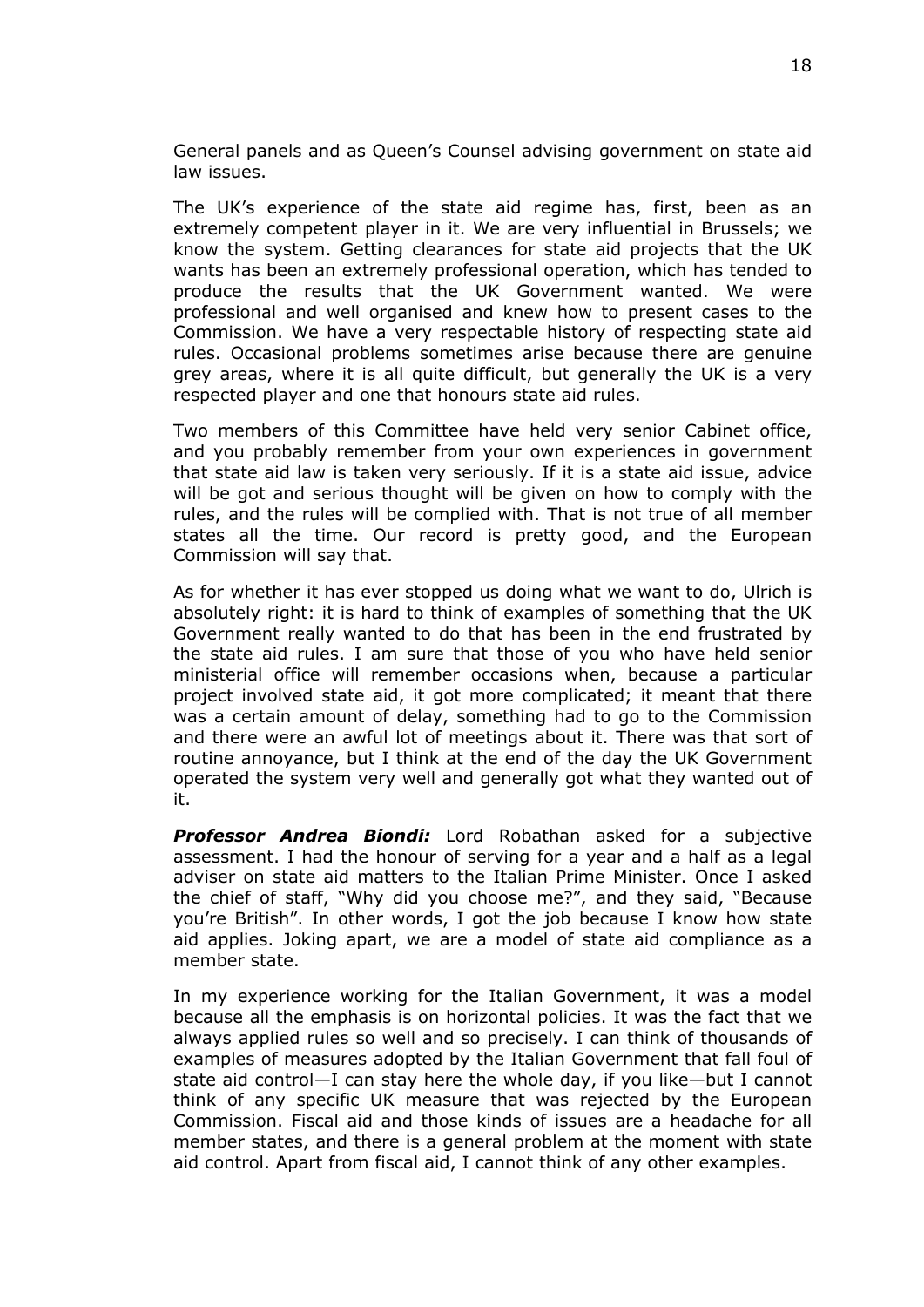General panels and as Queen's Counsel advising government on state aid law issues.

The UK's experience of the state aid regime has, first, been as an extremely competent player in it. We are very influential in Brussels; we know the system. Getting clearances for state aid projects that the UK wants has been an extremely professional operation, which has tended to produce the results that the UK Government wanted. We were professional and well organised and knew how to present cases to the Commission. We have a very respectable history of respecting state aid rules. Occasional problems sometimes arise because there are genuine grey areas, where it is all quite difficult, but generally the UK is a very respected player and one that honours state aid rules.

Two members of this Committee have held very senior Cabinet office, and you probably remember from your own experiences in government that state aid law is taken very seriously. If it is a state aid issue, advice will be got and serious thought will be given on how to comply with the rules, and the rules will be complied with. That is not true of all member states all the time. Our record is pretty good, and the European Commission will say that.

As for whether it has ever stopped us doing what we want to do, Ulrich is absolutely right: it is hard to think of examples of something that the UK Government really wanted to do that has been in the end frustrated by the state aid rules. I am sure that those of you who have held senior ministerial office will remember occasions when, because a particular project involved state aid, it got more complicated; it meant that there was a certain amount of delay, something had to go to the Commission and there were an awful lot of meetings about it. There was that sort of routine annoyance, but I think at the end of the day the UK Government operated the system very well and generally got what they wanted out of it.

*Professor Andrea Biondi:* Lord Robathan asked for a subjective assessment. I had the honour of serving for a year and a half as a legal adviser on state aid matters to the Italian Prime Minister. Once I asked the chief of staff, "Why did you choose me?", and they said, "Because you're British". In other words, I got the job because I know how state aid applies. Joking apart, we are a model of state aid compliance as a member state.

In my experience working for the Italian Government, it was a model because all the emphasis is on horizontal policies. It was the fact that we always applied rules so well and so precisely. I can think of thousands of examples of measures adopted by the Italian Government that fall foul of state aid control—I can stay here the whole day, if you like—but I cannot think of any specific UK measure that was rejected by the European Commission. Fiscal aid and those kinds of issues are a headache for all member states, and there is a general problem at the moment with state aid control. Apart from fiscal aid, I cannot think of any other examples.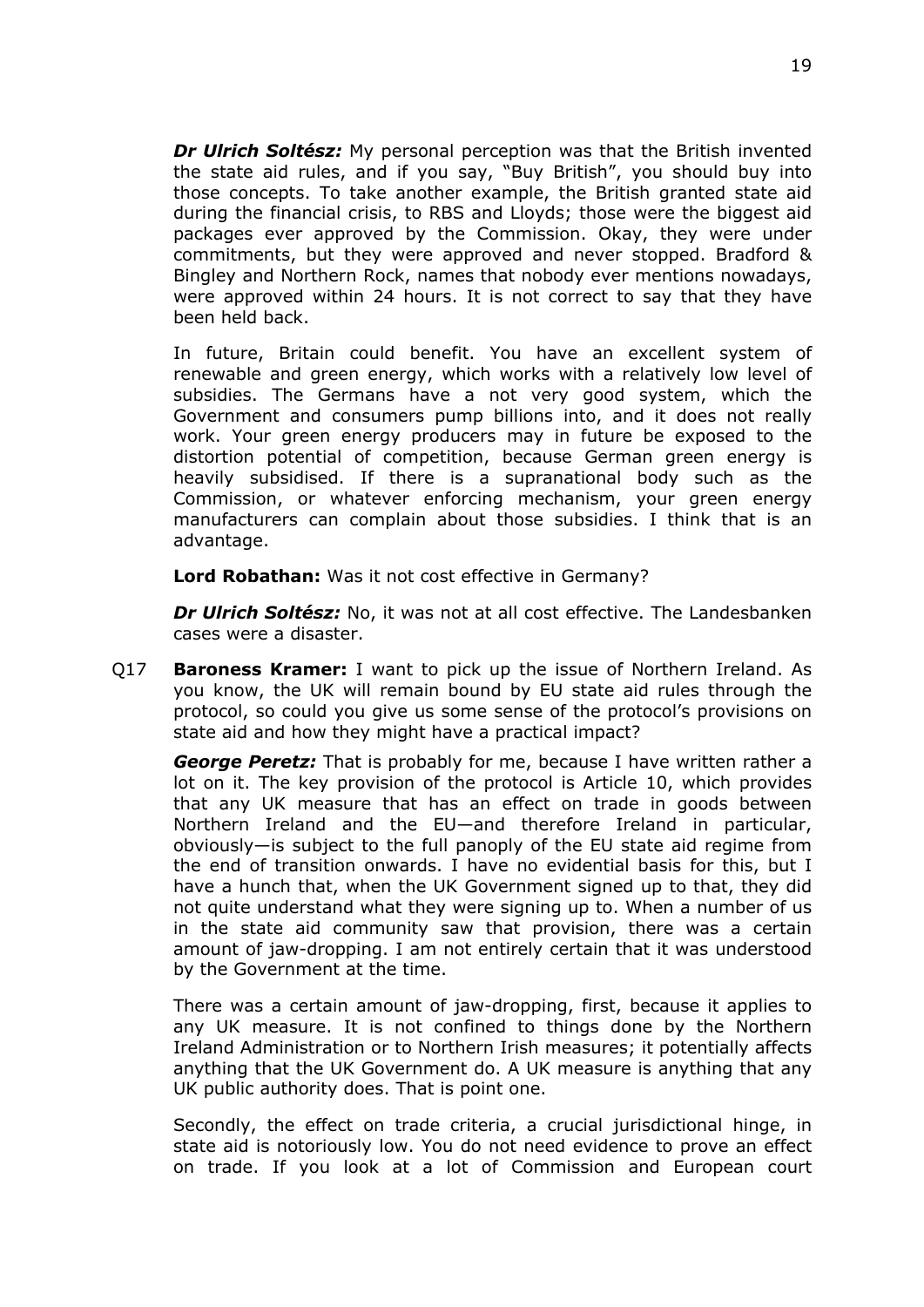*Dr Ulrich Soltész:* My personal perception was that the British invented the state aid rules, and if you say, "Buy British", you should buy into those concepts. To take another example, the British granted state aid during the financial crisis, to RBS and Lloyds; those were the biggest aid packages ever approved by the Commission. Okay, they were under commitments, but they were approved and never stopped. Bradford & Bingley and Northern Rock, names that nobody ever mentions nowadays, were approved within 24 hours. It is not correct to say that they have been held back.

In future, Britain could benefit. You have an excellent system of renewable and green energy, which works with a relatively low level of subsidies. The Germans have a not very good system, which the Government and consumers pump billions into, and it does not really work. Your green energy producers may in future be exposed to the distortion potential of competition, because German green energy is heavily subsidised. If there is a supranational body such as the Commission, or whatever enforcing mechanism, your green energy manufacturers can complain about those subsidies. I think that is an advantage.

**Lord Robathan:** Was it not cost effective in Germany?

*Dr Ulrich Soltész:* No, it was not at all cost effective. The Landesbanken cases were a disaster.

Q17 **Baroness Kramer:** I want to pick up the issue of Northern Ireland. As you know, the UK will remain bound by EU state aid rules through the protocol, so could you give us some sense of the protocol's provisions on state aid and how they might have a practical impact?

*George Peretz:* That is probably for me, because I have written rather a lot on it. The key provision of the protocol is Article 10, which provides that any UK measure that has an effect on trade in goods between Northern Ireland and the EU—and therefore Ireland in particular, obviously—is subject to the full panoply of the EU state aid regime from the end of transition onwards. I have no evidential basis for this, but I have a hunch that, when the UK Government signed up to that, they did not quite understand what they were signing up to. When a number of us in the state aid community saw that provision, there was a certain amount of jaw-dropping. I am not entirely certain that it was understood by the Government at the time.

There was a certain amount of jaw-dropping, first, because it applies to any UK measure. It is not confined to things done by the Northern Ireland Administration or to Northern Irish measures; it potentially affects anything that the UK Government do. A UK measure is anything that any UK public authority does. That is point one.

Secondly, the effect on trade criteria, a crucial jurisdictional hinge, in state aid is notoriously low. You do not need evidence to prove an effect on trade. If you look at a lot of Commission and European court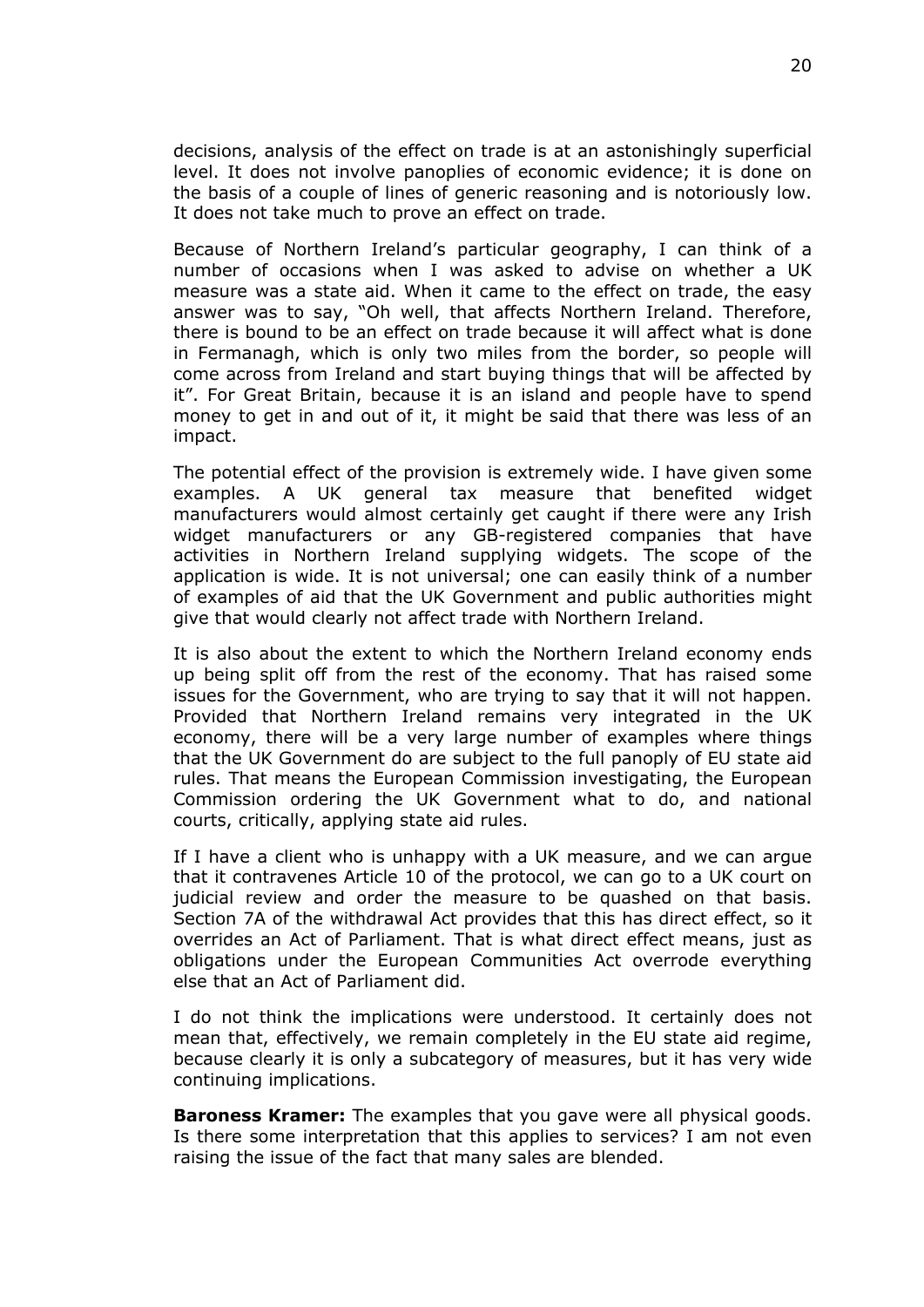decisions, analysis of the effect on trade is at an astonishingly superficial level. It does not involve panoplies of economic evidence; it is done on the basis of a couple of lines of generic reasoning and is notoriously low. It does not take much to prove an effect on trade.

Because of Northern Ireland's particular geography, I can think of a number of occasions when I was asked to advise on whether a UK measure was a state aid. When it came to the effect on trade, the easy answer was to say, "Oh well, that affects Northern Ireland. Therefore, there is bound to be an effect on trade because it will affect what is done in Fermanagh, which is only two miles from the border, so people will come across from Ireland and start buying things that will be affected by it". For Great Britain, because it is an island and people have to spend money to get in and out of it, it might be said that there was less of an impact.

The potential effect of the provision is extremely wide. I have given some examples. A UK general tax measure that benefited widget manufacturers would almost certainly get caught if there were any Irish widget manufacturers or any GB-registered companies that have activities in Northern Ireland supplying widgets. The scope of the application is wide. It is not universal; one can easily think of a number of examples of aid that the UK Government and public authorities might give that would clearly not affect trade with Northern Ireland.

It is also about the extent to which the Northern Ireland economy ends up being split off from the rest of the economy. That has raised some issues for the Government, who are trying to say that it will not happen. Provided that Northern Ireland remains very integrated in the UK economy, there will be a very large number of examples where things that the UK Government do are subject to the full panoply of EU state aid rules. That means the European Commission investigating, the European Commission ordering the UK Government what to do, and national courts, critically, applying state aid rules.

If I have a client who is unhappy with a UK measure, and we can argue that it contravenes Article 10 of the protocol, we can go to a UK court on judicial review and order the measure to be quashed on that basis. Section 7A of the withdrawal Act provides that this has direct effect, so it overrides an Act of Parliament. That is what direct effect means, just as obligations under the European Communities Act overrode everything else that an Act of Parliament did.

I do not think the implications were understood. It certainly does not mean that, effectively, we remain completely in the EU state aid regime, because clearly it is only a subcategory of measures, but it has very wide continuing implications.

**Baroness Kramer:** The examples that you gave were all physical goods. Is there some interpretation that this applies to services? I am not even raising the issue of the fact that many sales are blended.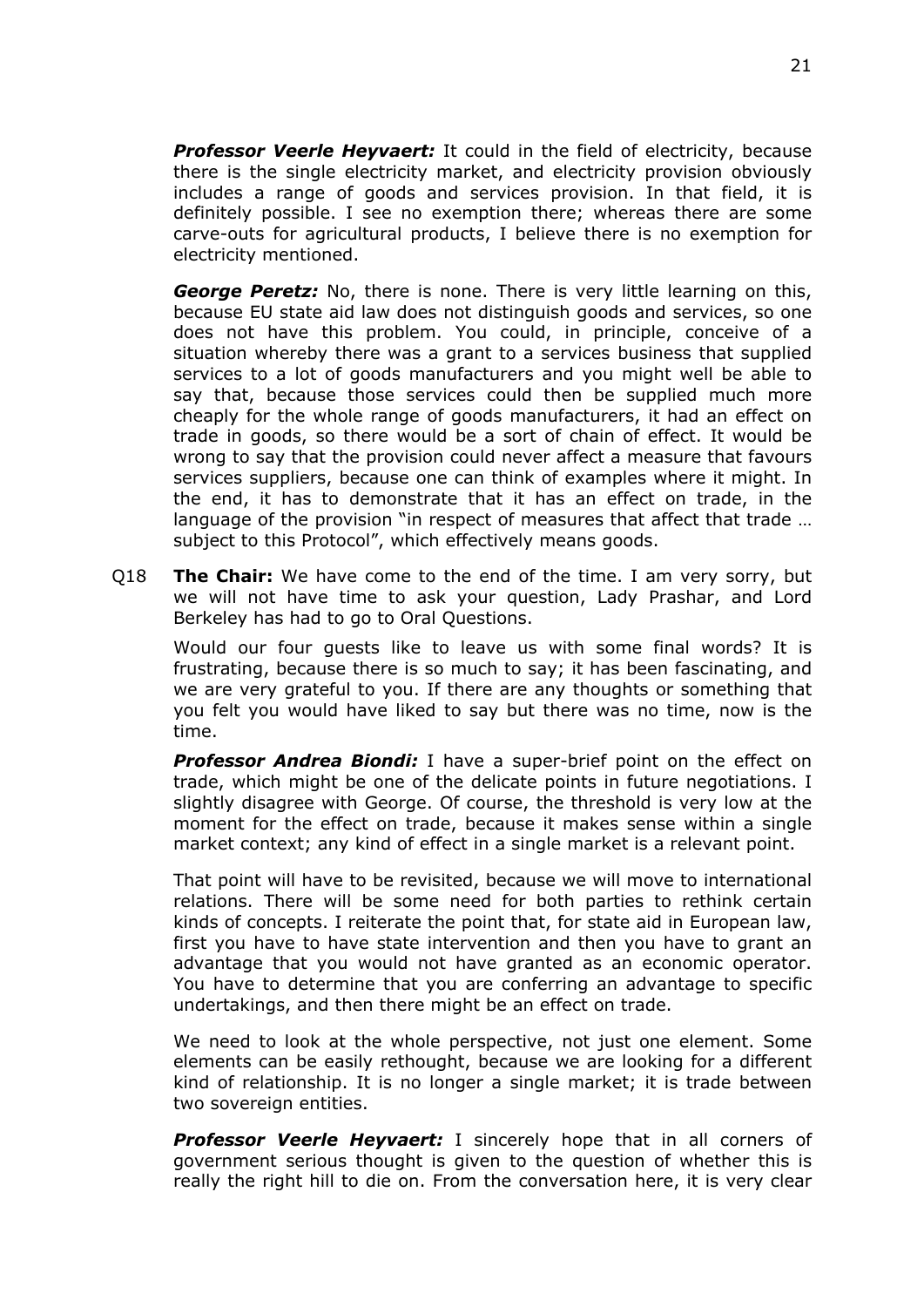*Professor Veerle Heyvaert:* It could in the field of electricity, because there is the single electricity market, and electricity provision obviously includes a range of goods and services provision. In that field, it is definitely possible. I see no exemption there; whereas there are some carve-outs for agricultural products, I believe there is no exemption for electricity mentioned.

*George Peretz:* No, there is none. There is very little learning on this, because EU state aid law does not distinguish goods and services, so one does not have this problem. You could, in principle, conceive of a situation whereby there was a grant to a services business that supplied services to a lot of goods manufacturers and you might well be able to say that, because those services could then be supplied much more cheaply for the whole range of goods manufacturers, it had an effect on trade in goods, so there would be a sort of chain of effect. It would be wrong to say that the provision could never affect a measure that favours services suppliers, because one can think of examples where it might. In the end, it has to demonstrate that it has an effect on trade, in the language of the provision "in respect of measures that affect that trade … subject to this Protocol", which effectively means goods.

Q18 **The Chair:** We have come to the end of the time. I am very sorry, but we will not have time to ask your question, Lady Prashar, and Lord Berkeley has had to go to Oral Questions.

Would our four guests like to leave us with some final words? It is frustrating, because there is so much to say; it has been fascinating, and we are very grateful to you. If there are any thoughts or something that you felt you would have liked to say but there was no time, now is the time.

*Professor Andrea Biondi:* I have a super-brief point on the effect on trade, which might be one of the delicate points in future negotiations. I slightly disagree with George. Of course, the threshold is very low at the moment for the effect on trade, because it makes sense within a single market context; any kind of effect in a single market is a relevant point.

That point will have to be revisited, because we will move to international relations. There will be some need for both parties to rethink certain kinds of concepts. I reiterate the point that, for state aid in European law, first you have to have state intervention and then you have to grant an advantage that you would not have granted as an economic operator. You have to determine that you are conferring an advantage to specific undertakings, and then there might be an effect on trade.

We need to look at the whole perspective, not just one element. Some elements can be easily rethought, because we are looking for a different kind of relationship. It is no longer a single market; it is trade between two sovereign entities.

*Professor Veerle Heyvaert:* I sincerely hope that in all corners of government serious thought is given to the question of whether this is really the right hill to die on. From the conversation here, it is very clear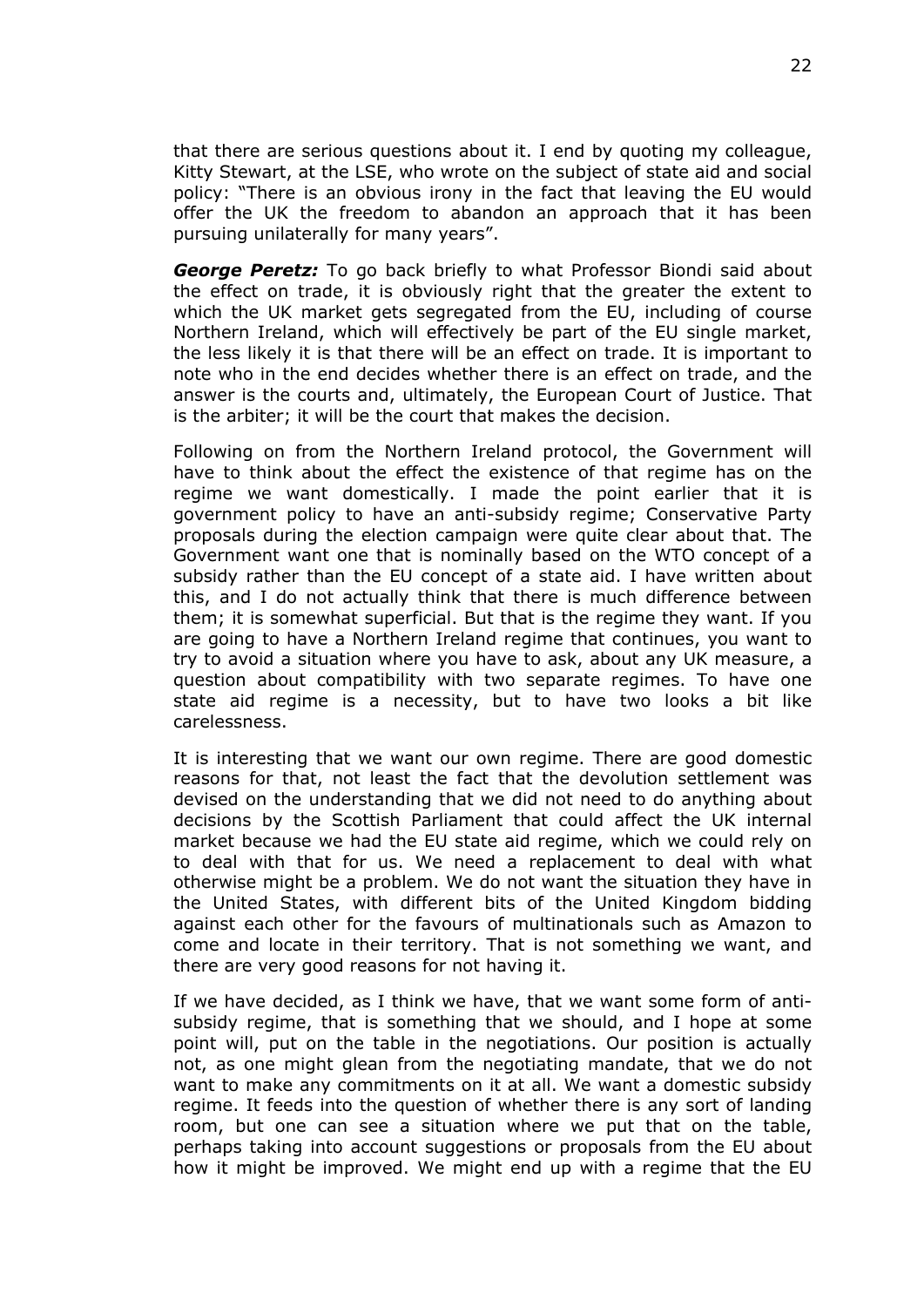that there are serious questions about it. I end by quoting my colleague, Kitty Stewart, at the LSE, who wrote on the subject of state aid and social policy: "There is an obvious irony in the fact that leaving the EU would offer the UK the freedom to abandon an approach that it has been pursuing unilaterally for many years".

*George Peretz:* To go back briefly to what Professor Biondi said about the effect on trade, it is obviously right that the greater the extent to which the UK market gets segregated from the EU, including of course Northern Ireland, which will effectively be part of the EU single market, the less likely it is that there will be an effect on trade. It is important to note who in the end decides whether there is an effect on trade, and the answer is the courts and, ultimately, the European Court of Justice. That is the arbiter; it will be the court that makes the decision.

Following on from the Northern Ireland protocol, the Government will have to think about the effect the existence of that regime has on the regime we want domestically. I made the point earlier that it is government policy to have an anti-subsidy regime; Conservative Party proposals during the election campaign were quite clear about that. The Government want one that is nominally based on the WTO concept of a subsidy rather than the EU concept of a state aid. I have written about this, and I do not actually think that there is much difference between them; it is somewhat superficial. But that is the regime they want. If you are going to have a Northern Ireland regime that continues, you want to try to avoid a situation where you have to ask, about any UK measure, a question about compatibility with two separate regimes. To have one state aid regime is a necessity, but to have two looks a bit like carelessness.

It is interesting that we want our own regime. There are good domestic reasons for that, not least the fact that the devolution settlement was devised on the understanding that we did not need to do anything about decisions by the Scottish Parliament that could affect the UK internal market because we had the EU state aid regime, which we could rely on to deal with that for us. We need a replacement to deal with what otherwise might be a problem. We do not want the situation they have in the United States, with different bits of the United Kingdom bidding against each other for the favours of multinationals such as Amazon to come and locate in their territory. That is not something we want, and there are very good reasons for not having it.

If we have decided, as I think we have, that we want some form of antisubsidy regime, that is something that we should, and I hope at some point will, put on the table in the negotiations. Our position is actually not, as one might glean from the negotiating mandate, that we do not want to make any commitments on it at all. We want a domestic subsidy regime. It feeds into the question of whether there is any sort of landing room, but one can see a situation where we put that on the table, perhaps taking into account suggestions or proposals from the EU about how it might be improved. We might end up with a regime that the EU